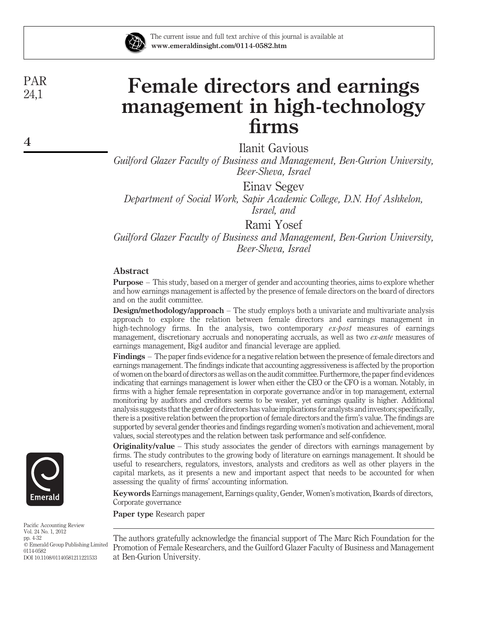

PAR 24,1

4

# Female directors and earnings management in high-technology firms

Ilanit Gavious

Guilford Glazer Faculty of Business and Management, Ben-Gurion University, Beer-Sheva, Israel

Einav Segev

Department of Social Work, Sapir Academic College, D.N. Hof Ashkelon, Israel, and

Rami Yosef

Guilford Glazer Faculty of Business and Management, Ben-Gurion University, Beer-Sheva, Israel

## Abstract

Purpose – This study, based on a merger of gender and accounting theories, aims to explore whether and how earnings management is affected by the presence of female directors on the board of directors and on the audit committee.

Design/methodology/approach – The study employs both a univariate and multivariate analysis approach to explore the relation between female directors and earnings management in high-technology firms. In the analysis, two contemporary *ex-post* measures of earnings management, discretionary accruals and nonoperating accruals, as well as two *ex-ante* measures of earnings management, Big4 auditor and financial leverage are applied.

Findings – The paper finds evidence for a negative relation between the presence of female directors and earnings management. The findings indicate that accounting aggressiveness is affected by the proportion of women on the board of directors as well as on the audit committee. Furthermore, the paper find evidences indicating that earnings management is lower when either the CEO or the CFO is a woman. Notably, in firms with a higher female representation in corporate governance and/or in top management, external monitoring by auditors and creditors seems to be weaker, yet earnings quality is higher. Additional analysis suggests that the gender of directors has value implications for analysts and investors; specifically, there is a positive relation between the proportion of female directors and the firm's value. The findings are supported by several gender theories and findings regarding women's motivation and achievement, moral values, social stereotypes and the relation between task performance and self-confidence.

**Originality/value** – This study associates the gender of directors with earnings management by firms. The study contributes to the growing body of literature on earnings management. It should be useful to researchers, regulators, investors, analysts and creditors as well as other players in the capital markets, as it presents a new and important aspect that needs to be accounted for when assessing the quality of firms' accounting information.

Keywords Earnings management, Earnings quality, Gender, Women's motivation, Boards of directors, Corporate governance

Paper type Research paper

The authors gratefully acknowledge the financial support of The Marc Rich Foundation for the Promotion of Female Researchers, and the Guilford Glazer Faculty of Business and Management at Ben-Gurion University.



Pacific Accounting Review Vol. 24 No. 1, 2012 pp. 4-32  $\degree$  Emerald Group Publishing Limited 0114-0582 DOI 10.1108/01140581211221533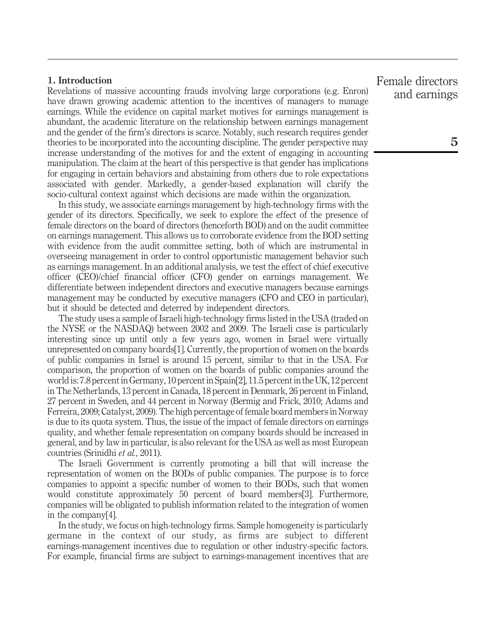## 1. Introduction

Revelations of massive accounting frauds involving large corporations (e.g. Enron) have drawn growing academic attention to the incentives of managers to manage earnings. While the evidence on capital market motives for earnings management is abundant, the academic literature on the relationship between earnings management and the gender of the firm's directors is scarce. Notably, such research requires gender theories to be incorporated into the accounting discipline. The gender perspective may increase understanding of the motives for and the extent of engaging in accounting manipulation. The claim at the heart of this perspective is that gender has implications for engaging in certain behaviors and abstaining from others due to role expectations associated with gender. Markedly, a gender-based explanation will clarify the socio-cultural context against which decisions are made within the organization.

In this study, we associate earnings management by high-technology firms with the gender of its directors. Specifically, we seek to explore the effect of the presence of female directors on the board of directors (henceforth BOD) and on the audit committee on earnings management. This allows us to corroborate evidence from the BOD setting with evidence from the audit committee setting, both of which are instrumental in overseeing management in order to control opportunistic management behavior such as earnings management. In an additional analysis, we test the effect of chief executive officer (CEO)/chief financial officer (CFO) gender on earnings management. We differentiate between independent directors and executive managers because earnings management may be conducted by executive managers (CFO and CEO in particular), but it should be detected and deterred by independent directors.

The study uses a sample of Israeli high-technology firms listed in the USA (traded on the NYSE or the NASDAQ) between 2002 and 2009. The Israeli case is particularly interesting since up until only a few years ago, women in Israel were virtually unrepresented on company boards[1]. Currently, the proportion of women on the boards of public companies in Israel is around 15 percent, similar to that in the USA. For comparison, the proportion of women on the boards of public companies around the world is: 7.8 percent in Germany, 10 percent in Spain[2], 11.5 percent in the UK, 12 percent in The Netherlands, 13 percent in Canada, 18 percent in Denmark, 26 percent in Finland, 27 percent in Sweden, and 44 percent in Norway (Bermig and Frick, 2010; Adams and Ferreira, 2009; Catalyst, 2009). The high percentage of female board members in Norway is due to its quota system. Thus, the issue of the impact of female directors on earnings quality, and whether female representation on company boards should be increased in general, and by law in particular, is also relevant for the USA as well as most European countries (Srinidhi et al., 2011).

The Israeli Government is currently promoting a bill that will increase the representation of women on the BODs of public companies. The purpose is to force companies to appoint a specific number of women to their BODs, such that women would constitute approximately 50 percent of board members[3]. Furthermore, companies will be obligated to publish information related to the integration of women in the company[4].

In the study, we focus on high-technology firms. Sample homogeneity is particularly germane in the context of our study, as firms are subject to different earnings-management incentives due to regulation or other industry-specific factors. For example, financial firms are subject to earnings-management incentives that are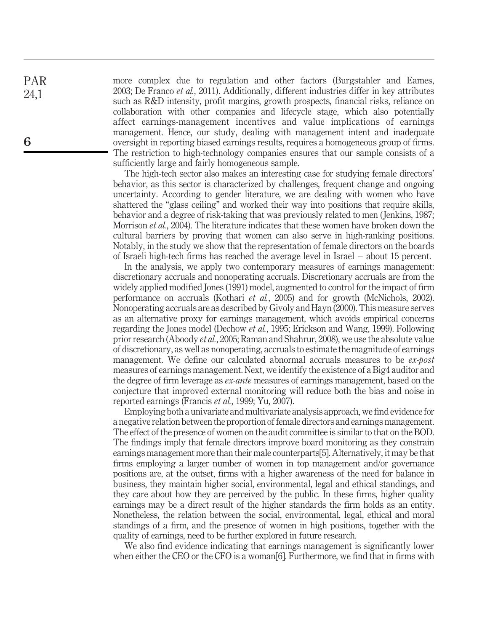more complex due to regulation and other factors (Burgstahler and Eames, 2003; De Franco et al., 2011). Additionally, different industries differ in key attributes such as R&D intensity, profit margins, growth prospects, financial risks, reliance on collaboration with other companies and lifecycle stage, which also potentially affect earnings-management incentives and value implications of earnings management. Hence, our study, dealing with management intent and inadequate oversight in reporting biased earnings results, requires a homogeneous group of firms. The restriction to high-technology companies ensures that our sample consists of a sufficiently large and fairly homogeneous sample.

The high-tech sector also makes an interesting case for studying female directors' behavior, as this sector is characterized by challenges, frequent change and ongoing uncertainty. According to gender literature, we are dealing with women who have shattered the "glass ceiling" and worked their way into positions that require skills, behavior and a degree of risk-taking that was previously related to men (Jenkins, 1987; Morrison *et al.*, 2004). The literature indicates that these women have broken down the cultural barriers by proving that women can also serve in high-ranking positions. Notably, in the study we show that the representation of female directors on the boards of Israeli high-tech firms has reached the average level in Israel – about 15 percent.

In the analysis, we apply two contemporary measures of earnings management: discretionary accruals and nonoperating accruals. Discretionary accruals are from the widely applied modified Jones (1991) model, augmented to control for the impact of firm performance on accruals (Kothari et al., 2005) and for growth (McNichols, 2002). Nonoperating accruals are as described by Givoly and Hayn (2000). This measure serves as an alternative proxy for earnings management, which avoids empirical concerns regarding the Jones model (Dechow et al., 1995; Erickson and Wang, 1999). Following prior research (Aboody et al., 2005; Raman and Shahrur, 2008), we use the absolute value of discretionary, as well as nonoperating, accruals to estimate the magnitude of earnings management. We define our calculated abnormal accruals measures to be  $ex\text{-}post$ measures of earnings management. Next, we identify the existence of a Big4 auditor and the degree of firm leverage as  $ex\text{-}ante$  measures of earnings management, based on the conjecture that improved external monitoring will reduce both the bias and noise in reported earnings (Francis et al., 1999; Yu, 2007).

Employing both a univariate and multivariate analysis approach, we find evidence for a negative relation between the proportion of female directors and earnings management. The effect of the presence of women on the audit committee is similar to that on the BOD. The findings imply that female directors improve board monitoring as they constrain earnings management more than their male counterparts[5]. Alternatively, it may be that firms employing a larger number of women in top management and/or governance positions are, at the outset, firms with a higher awareness of the need for balance in business, they maintain higher social, environmental, legal and ethical standings, and they care about how they are perceived by the public. In these firms, higher quality earnings may be a direct result of the higher standards the firm holds as an entity. Nonetheless, the relation between the social, environmental, legal, ethical and moral standings of a firm, and the presence of women in high positions, together with the quality of earnings, need to be further explored in future research.

We also find evidence indicating that earnings management is significantly lower when either the CEO or the CFO is a woman[6]. Furthermore, we find that in firms with

6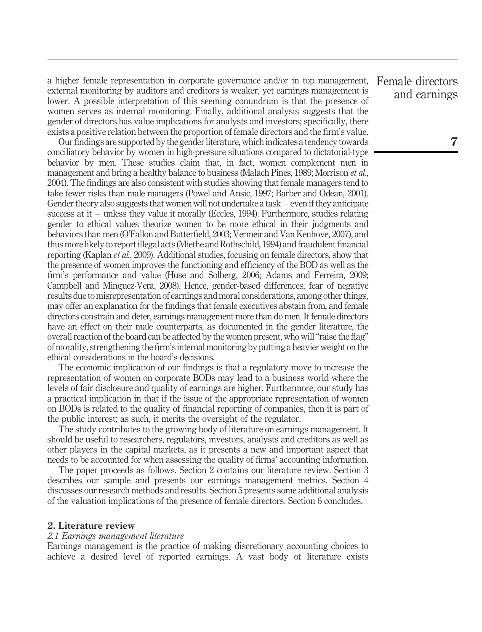a higher female representation in corporate governance and/or in top management, external monitoring by auditors and creditors is weaker, yet earnings management is lower. A possible interpretation of this seeming conundrum is that the presence of women serves as internal monitoring. Finally, additional analysis suggests that the gender of directors has value implications for analysts and investors; specifically, there exists a positive relation between the proportion of female directors and the firm's value.

Our findings are supported by the gender literature, which indicates a tendency towards conciliatory behavior by women in high-pressure situations compared to dictatorial-type behavior by men. These studies claim that, in fact, women complement men in management and bring a healthy balance to business (Malach Pines, 1989; Morrison *et al.*, 2004). The findings are also consistent with studies showing that female managers tend to take fewer risks than male managers (Powel and Ansic, 1997; Barber and Odean, 2001). Gender theory also suggests that women will not undertake a task – even if they anticipate success at it – unless they value it morally (Eccles, 1994). Furthermore, studies relating gender to ethical values theorize women to be more ethical in their judgments and behaviors than men (O'Fallon and Butterfield, 2003; Vermeir and Van Kenhove, 2007), and thus more likely to report illegal acts (Miethe and Rothschild, 1994) and fraudulent financial reporting (Kaplan et al., 2009). Additional studies, focusing on female directors, show that the presence of women improves the functioning and efficiency of the BOD as well as the firm's performance and value (Huse and Solberg, 2006; Adams and Ferreira, 2009; Campbell and Minguez-Vera, 2008). Hence, gender-based differences, fear of negative results due to misrepresentation of earnings and moral considerations, among other things, may offer an explanation for the findings that female executives abstain from, and female directors constrain and deter, earnings management more than do men. If female directors have an effect on their male counterparts, as documented in the gender literature, the overall reaction of the board can be affected by the women present, who will "raise the flag" of morality, strengthening the firm's internal monitoring by putting a heavier weight on the ethical considerations in the board's decisions.

The economic implication of our findings is that a regulatory move to increase the representation of women on corporate BODs may lead to a business world where the levels of fair disclosure and quality of earnings are higher. Furthermore, our study has a practical implication in that if the issue of the appropriate representation of women on BODs is related to the quality of financial reporting of companies, then it is part of the public interest; as such, it merits the oversight of the regulator.

The study contributes to the growing body of literature on earnings management. It should be useful to researchers, regulators, investors, analysts and creditors as well as other players in the capital markets, as it presents a new and important aspect that needs to be accounted for when assessing the quality of firms' accounting information.

The paper proceeds as follows. Section 2 contains our literature review. Section 3 describes our sample and presents our earnings management metrics. Section 4 discusses our research methods and results. Section 5 presents some additional analysis of the valuation implications of the presence of female directors. Section 6 concludes.

#### 2. Literature review

#### 2.1 Earnings management literature

Earnings management is the practice of making discretionary accounting choices to achieve a desired level of reported earnings. A vast body of literature exists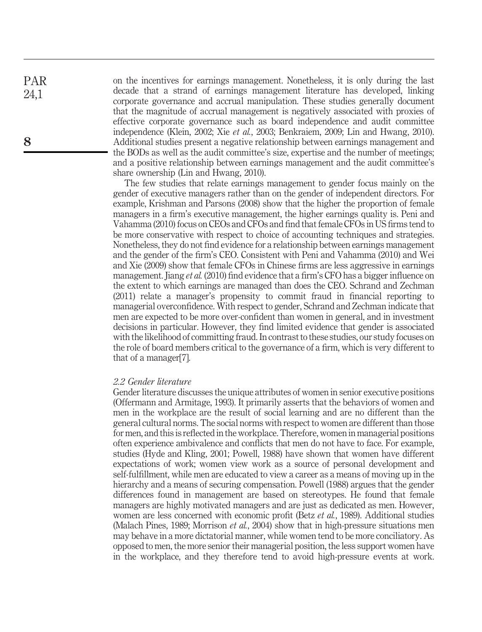on the incentives for earnings management. Nonetheless, it is only during the last decade that a strand of earnings management literature has developed, linking corporate governance and accrual manipulation. These studies generally document that the magnitude of accrual management is negatively associated with proxies of effective corporate governance such as board independence and audit committee independence (Klein, 2002; Xie et al., 2003; Benkraiem, 2009; Lin and Hwang, 2010). Additional studies present a negative relationship between earnings management and the BODs as well as the audit committee's size, expertise and the number of meetings; and a positive relationship between earnings management and the audit committee's share ownership (Lin and Hwang, 2010).

The few studies that relate earnings management to gender focus mainly on the gender of executive managers rather than on the gender of independent directors. For example, Krishman and Parsons (2008) show that the higher the proportion of female managers in a firm's executive management, the higher earnings quality is. Peni and Vahamma (2010) focus on CEOs and CFOs and find that female CFOs in US firms tend to be more conservative with respect to choice of accounting techniques and strategies. Nonetheless, they do not find evidence for a relationship between earnings management and the gender of the firm's CEO. Consistent with Peni and Vahamma (2010) and Wei and Xie (2009) show that female CFOs in Chinese firms are less aggressive in earnings management. Jiang *et al.* (2010) find evidence that a firm's CFO has a bigger influence on the extent to which earnings are managed than does the CEO. Schrand and Zechman (2011) relate a manager's propensity to commit fraud in financial reporting to managerial overconfidence. With respect to gender, Schrand and Zechman indicate that men are expected to be more over-confident than women in general, and in investment decisions in particular. However, they find limited evidence that gender is associated with the likelihood of committing fraud. In contrast to these studies, our study focuses on the role of board members critical to the governance of a firm, which is very different to that of a manager[7].

#### 2.2 Gender literature

Gender literature discusses the unique attributes of women in senior executive positions (Offermann and Armitage, 1993). It primarily asserts that the behaviors of women and men in the workplace are the result of social learning and are no different than the general cultural norms. The social norms with respect to women are different than those for men, and this is reflected in the workplace. Therefore, women in managerial positions often experience ambivalence and conflicts that men do not have to face. For example, studies (Hyde and Kling, 2001; Powell, 1988) have shown that women have different expectations of work; women view work as a source of personal development and self-fulfillment, while men are educated to view a career as a means of moving up in the hierarchy and a means of securing compensation. Powell (1988) argues that the gender differences found in management are based on stereotypes. He found that female managers are highly motivated managers and are just as dedicated as men. However, women are less concerned with economic profit (Betz et al., 1989). Additional studies (Malach Pines, 1989; Morrison *et al.*, 2004) show that in high-pressure situations men may behave in a more dictatorial manner, while women tend to be more conciliatory. As opposed to men, the more senior their managerial position, the less support women have in the workplace, and they therefore tend to avoid high-pressure events at work.

PAR 24,1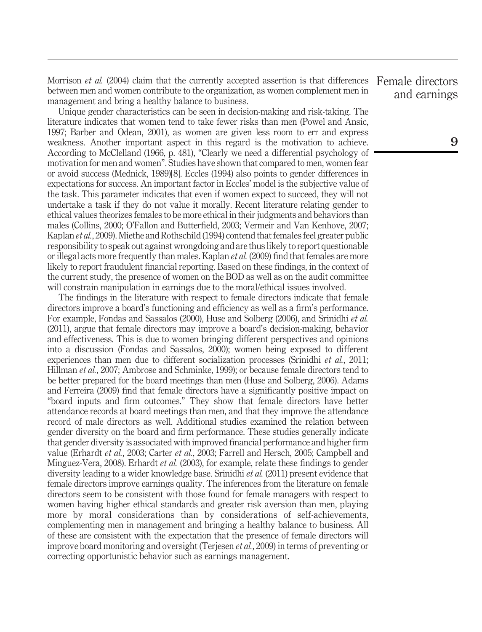Morrison *et al.* (2004) claim that the currently accepted assertion is that differences between men and women contribute to the organization, as women complement men in management and bring a healthy balance to business.

Unique gender characteristics can be seen in decision-making and risk-taking. The literature indicates that women tend to take fewer risks than men (Powel and Ansic, 1997; Barber and Odean, 2001), as women are given less room to err and express weakness. Another important aspect in this regard is the motivation to achieve. According to McClelland (1966, p. 481), "Clearly we need a differential psychology of motivation for men and women". Studies have shown that compared to men, women fear or avoid success (Mednick, 1989)[8]. Eccles (1994) also points to gender differences in expectations for success. An important factor in Eccles' model is the subjective value of the task. This parameter indicates that even if women expect to succeed, they will not undertake a task if they do not value it morally. Recent literature relating gender to ethical values theorizes females to be more ethical in their judgments and behaviors than males (Collins, 2000; O'Fallon and Butterfield, 2003; Vermeir and Van Kenhove, 2007; Kaplan et al., 2009). Miethe and Rothschild (1994) contend that females feel greater public responsibility to speak out against wrongdoing and are thus likely to report questionable or illegal acts more frequently than males. Kaplan et al. (2009) find that females are more likely to report fraudulent financial reporting. Based on these findings, in the context of the current study, the presence of women on the BOD as well as on the audit committee will constrain manipulation in earnings due to the moral/ethical issues involved.

The findings in the literature with respect to female directors indicate that female directors improve a board's functioning and efficiency as well as a firm's performance. For example, Fondas and Sassalos (2000), Huse and Solberg (2006), and Srinidhi et al. (2011), argue that female directors may improve a board's decision-making, behavior and effectiveness. This is due to women bringing different perspectives and opinions into a discussion (Fondas and Sassalos, 2000); women being exposed to different experiences than men due to different socialization processes (Srinidhi et al., 2011; Hillman et al., 2007; Ambrose and Schminke, 1999); or because female directors tend to be better prepared for the board meetings than men (Huse and Solberg, 2006). Adams and Ferreira (2009) find that female directors have a significantly positive impact on "board inputs and firm outcomes." They show that female directors have better attendance records at board meetings than men, and that they improve the attendance record of male directors as well. Additional studies examined the relation between gender diversity on the board and firm performance. These studies generally indicate that gender diversity is associated with improved financial performance and higher firm value (Erhardt et al., 2003; Carter et al., 2003; Farrell and Hersch, 2005; Campbell and Minguez-Vera, 2008). Erhardt et al. (2003), for example, relate these findings to gender diversity leading to a wider knowledge base. Srinidhi et al. (2011) present evidence that female directors improve earnings quality. The inferences from the literature on female directors seem to be consistent with those found for female managers with respect to women having higher ethical standards and greater risk aversion than men, playing more by moral considerations than by considerations of self-achievements, complementing men in management and bringing a healthy balance to business. All of these are consistent with the expectation that the presence of female directors will improve board monitoring and oversight (Terjesen et al., 2009) in terms of preventing or correcting opportunistic behavior such as earnings management.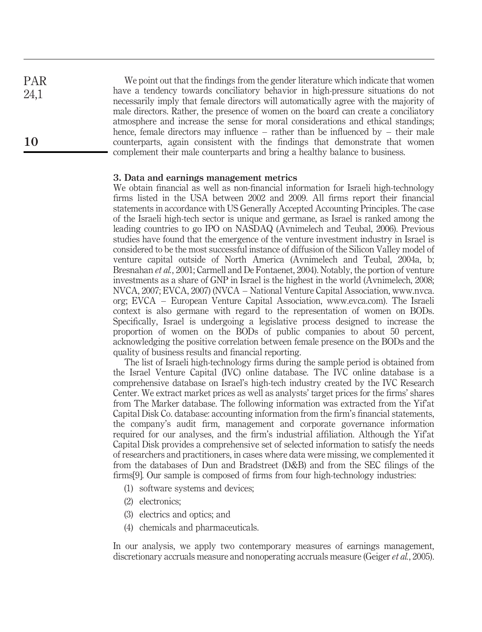| <b>PAR</b> | We point out that the findings from the gender literature which indicate that women   |
|------------|---------------------------------------------------------------------------------------|
| 24,1       | have a tendency towards conciliatory behavior in high-pressure situations do not      |
|            | necessarily imply that female directors will automatically agree with the majority of |
|            | male directors. Rather, the presence of women on the board can create a conciliatory  |
|            | atmosphere and increase the sense for moral considerations and ethical standings;     |
|            | hence, female directors may influence $-$ rather than be influenced by $-$ their male |
| <b>10</b>  | counterparts, again consistent with the findings that demonstrate that women          |
|            | complement their male counterparts and bring a healthy balance to business.           |
|            |                                                                                       |

#### 3. Data and earnings management metrics

We obtain financial as well as non-financial information for Israeli high-technology firms listed in the USA between 2002 and 2009. All firms report their financial statements in accordance with US Generally Accepted Accounting Principles. The case of the Israeli high-tech sector is unique and germane, as Israel is ranked among the leading countries to go IPO on NASDAQ (Avnimelech and Teubal, 2006). Previous studies have found that the emergence of the venture investment industry in Israel is considered to be the most successful instance of diffusion of the Silicon Valley model of venture capital outside of North America (Avnimelech and Teubal, 2004a, b; Bresnahan et al., 2001; Carmell and De Fontaenet, 2004). Notably, the portion of venture investments as a share of GNP in Israel is the highest in the world (Avnimelech, 2008; NVCA, 2007; EVCA, 2007) (NVCA – National Venture Capital Association, www.nvca. org; EVCA – European Venture Capital Association, www.evca.com). The Israeli context is also germane with regard to the representation of women on BODs. Specifically, Israel is undergoing a legislative process designed to increase the proportion of women on the BODs of public companies to about 50 percent, acknowledging the positive correlation between female presence on the BODs and the quality of business results and financial reporting.

The list of Israeli high-technology firms during the sample period is obtained from the Israel Venture Capital (IVC) online database. The IVC online database is a comprehensive database on Israel's high-tech industry created by the IVC Research Center. We extract market prices as well as analysts' target prices for the firms' shares from The Marker database. The following information was extracted from the Yif'at Capital Disk Co. database: accounting information from the firm's financial statements, the company's audit firm, management and corporate governance information required for our analyses, and the firm's industrial affiliation. Although the Yif'at Capital Disk provides a comprehensive set of selected information to satisfy the needs of researchers and practitioners, in cases where data were missing, we complemented it from the databases of Dun and Bradstreet (D&B) and from the SEC filings of the firms[9]. Our sample is composed of firms from four high-technology industries:

- (1) software systems and devices;
- (2) electronics;
- (3) electrics and optics; and
- (4) chemicals and pharmaceuticals.

In our analysis, we apply two contemporary measures of earnings management, discretionary accruals measure and nonoperating accruals measure (Geiger *et al.*, 2005).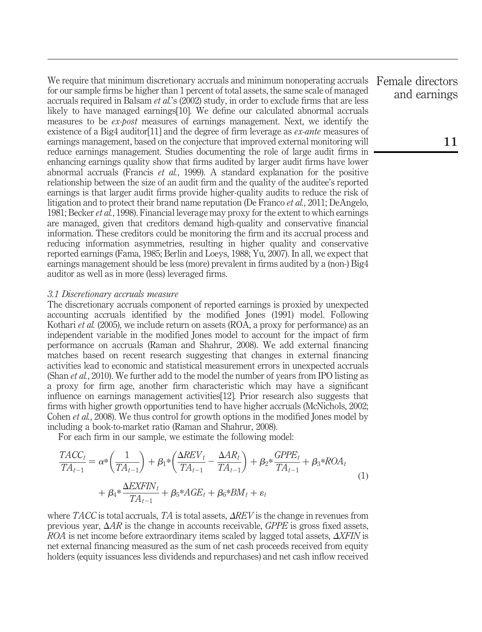We require that minimum discretionary accruals and minimum nonoperating accruals Female directors for our sample firms be higher than 1 percent of total assets, the same scale of managed accruals required in Balsam et al.'s (2002) study, in order to exclude firms that are less likely to have managed earnings[10]. We define our calculated abnormal accruals measures to be ex-post measures of earnings management. Next, we identify the existence of a Big4 auditor [11] and the degree of firm leverage as  $ex$ -ante measures of earnings management, based on the conjecture that improved external monitoring will reduce earnings management. Studies documenting the role of large audit firms in enhancing earnings quality show that firms audited by larger audit firms have lower abnormal accruals (Francis *et al.*, 1999). A standard explanation for the positive relationship between the size of an audit firm and the quality of the auditee's reported earnings is that larger audit firms provide higher-quality audits to reduce the risk of litigation and to protect their brand name reputation (De Franco *et al.*, 2011; DeAngelo, 1981; Becker et al., 1998). Financial leverage may proxy for the extent to which earnings are managed, given that creditors demand high-quality and conservative financial information. These creditors could be monitoring the firm and its accrual process and reducing information asymmetries, resulting in higher quality and conservative reported earnings (Fama, 1985; Berlin and Loeys, 1988; Yu, 2007). In all, we expect that earnings management should be less (more) prevalent in firms audited by a (non-) Big4 auditor as well as in more (less) leveraged firms.

#### 3.1 Discretionary accruals measure

The discretionary accruals component of reported earnings is proxied by unexpected accounting accruals identified by the modified Jones (1991) model. Following Kothari *et al.* (2005), we include return on assets (ROA, a proxy for performance) as an independent variable in the modified Jones model to account for the impact of firm performance on accruals (Raman and Shahrur, 2008). We add external financing matches based on recent research suggesting that changes in external financing activities lead to economic and statistical measurement errors in unexpected accruals (Shan *et al.*, 2010). We further add to the model the number of years from IPO listing as a proxy for firm age, another firm characteristic which may have a significant influence on earnings management activities[12]. Prior research also suggests that firms with higher growth opportunities tend to have higher accruals (McNichols, 2002; Cohen *et al.*, 2008). We thus control for growth options in the modified Jones model by including a book-to-market ratio (Raman and Shahrur, 2008).

For each firm in our sample, we estimate the following model:

$$
\frac{TACC_t}{TA_{t-1}} = \alpha^* \left(\frac{1}{TA_{t-1}}\right) + \beta_1^* \left(\frac{\Delta REV_t}{TA_{t-1}} - \frac{\Delta AR_t}{TA_{t-1}}\right) + \beta_2^* \frac{GPPE_t}{TA_{t-1}} + \beta_3^*ROA_t
$$
  
+  $\beta_4^* \frac{\Delta EXFIN_t}{TA_{t-1}} + \beta_5^*AGE_t + \beta_6^*BM_t + \varepsilon_t$  (1)

where TACC is total accruals, TA is total assets,  $\Delta$ REV is the change in revenues from previous year,  $\Delta AR$  is the change in accounts receivable,  $GPPE$  is gross fixed assets,  $ROA$  is net income before extraordinary items scaled by lagged total assets,  $\Delta XFIN$  is net external financing measured as the sum of net cash proceeds received from equity holders (equity issuances less dividends and repurchases) and net cash inflow received

and earnings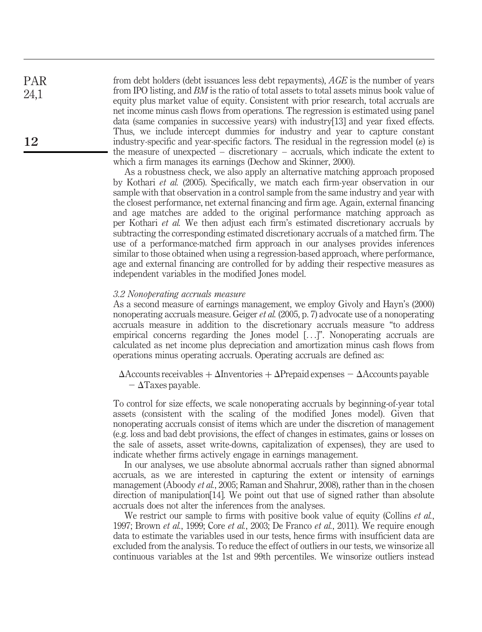from debt holders (debt issuances less debt repayments), AGE is the number of years from IPO listing, and BM is the ratio of total assets to total assets minus book value of equity plus market value of equity. Consistent with prior research, total accruals are net income minus cash flows from operations. The regression is estimated using panel data (same companies in successive years) with industry[13] and year fixed effects. Thus, we include intercept dummies for industry and year to capture constant industry-specific and year-specific factors. The residual in the regression model  $(\epsilon)$  is the measure of unexpected – discretionary – accruals, which indicate the extent to which a firm manages its earnings (Dechow and Skinner, 2000).

As a robustness check, we also apply an alternative matching approach proposed by Kothari et al. (2005). Specifically, we match each firm-year observation in our sample with that observation in a control sample from the same industry and year with the closest performance, net external financing and firm age. Again, external financing and age matches are added to the original performance matching approach as per Kothari et al. We then adjust each firm's estimated discretionary accruals by subtracting the corresponding estimated discretionary accruals of a matched firm. The use of a performance-matched firm approach in our analyses provides inferences similar to those obtained when using a regression-based approach, where performance, age and external financing are controlled for by adding their respective measures as independent variables in the modified Jones model.

#### 3.2 Nonoperating accruals measure

As a second measure of earnings management, we employ Givoly and Hayn's (2000) nonoperating accruals measure. Geiger et al. (2005, p. 7) advocate use of a nonoperating accruals measure in addition to the discretionary accruals measure "to address empirical concerns regarding the Jones model [...]". Nonoperating accruals are calculated as net income plus depreciation and amortization minus cash flows from operations minus operating accruals. Operating accruals are defined as:

 $\Delta$ Accounts receivables  $+\Delta$ Inventories  $+\Delta$ Prepaid expenses  $-\Delta$ Accounts payable  $-\Delta$ Taxes payable.

To control for size effects, we scale nonoperating accruals by beginning-of-year total assets (consistent with the scaling of the modified Jones model). Given that nonoperating accruals consist of items which are under the discretion of management (e.g. loss and bad debt provisions, the effect of changes in estimates, gains or losses on the sale of assets, asset write-downs, capitalization of expenses), they are used to indicate whether firms actively engage in earnings management.

In our analyses, we use absolute abnormal accruals rather than signed abnormal accruals, as we are interested in capturing the extent or intensity of earnings management (Aboody et al., 2005; Raman and Shahrur, 2008), rather than in the chosen direction of manipulation[14]. We point out that use of signed rather than absolute accruals does not alter the inferences from the analyses.

We restrict our sample to firms with positive book value of equity (Collins *et al.*, 1997; Brown et al., 1999; Core et al., 2003; De Franco et al., 2011). We require enough data to estimate the variables used in our tests, hence firms with insufficient data are excluded from the analysis. To reduce the effect of outliers in our tests, we winsorize all continuous variables at the 1st and 99th percentiles. We winsorize outliers instead

PAR 24,1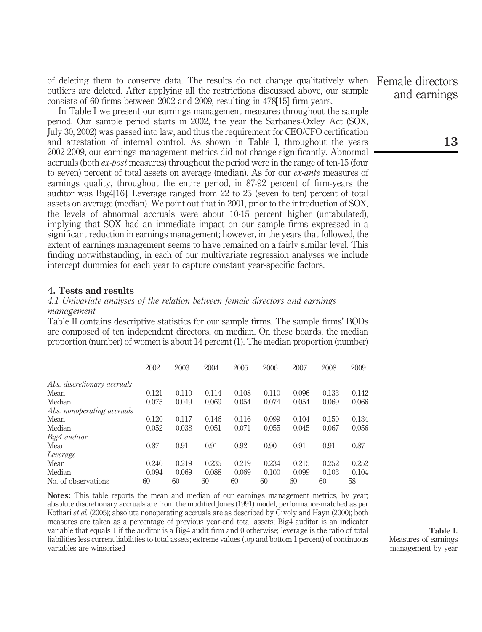of deleting them to conserve data. The results do not change qualitatively when Female directors outliers are deleted. After applying all the restrictions discussed above, our sample consists of 60 firms between 2002 and 2009, resulting in 478[15] firm-years.

In Table I we present our earnings management measures throughout the sample period. Our sample period starts in 2002, the year the Sarbanes-Oxley Act (SOX, July 30, 2002) was passed into law, and thus the requirement for CEO/CFO certification and attestation of internal control. As shown in Table I, throughout the years 2002-2009, our earnings management metrics did not change significantly. Abnormal accruals (both *ex-post* measures) throughout the period were in the range of ten-15 (four to seven) percent of total assets on average (median). As for our ex-ante measures of earnings quality, throughout the entire period, in 87-92 percent of firm-years the auditor was Big4[16]. Leverage ranged from 22 to 25 (seven to ten) percent of total assets on average (median). We point out that in 2001, prior to the introduction of SOX, the levels of abnormal accruals were about 10-15 percent higher (untabulated), implying that SOX had an immediate impact on our sample firms expressed in a significant reduction in earnings management; however, in the years that followed, the extent of earnings management seems to have remained on a fairly similar level. This finding notwithstanding, in each of our multivariate regression analyses we include intercept dummies for each year to capture constant year-specific factors.

## 4. Tests and results

#### 4.1 Univariate analyses of the relation between female directors and earnings management

Table II contains descriptive statistics for our sample firms. The sample firms' BODs are composed of ten independent directors, on median. On these boards, the median proportion (number) of women is about 14 percent (1). The median proportion (number)

| 2002  | 2003  | 2004  | 2005  | 2006  | 2007  | 2008  | 2009  |
|-------|-------|-------|-------|-------|-------|-------|-------|
|       |       |       |       |       |       |       |       |
| 0.121 | 0.110 | 0.114 | 0.108 | 0.110 | 0.096 | 0.133 | 0.142 |
| 0.075 | 0.049 | 0.069 | 0.054 | 0.074 | 0.054 | 0.069 | 0.066 |
|       |       |       |       |       |       |       |       |
| 0.120 | 0.117 | 0.146 | 0.116 | 0.099 | 0.104 | 0.150 | 0.134 |
| 0.052 | 0.038 | 0.051 | 0.071 | 0.055 | 0.045 | 0.067 | 0.056 |
|       |       |       |       |       |       |       |       |
| 0.87  | 0.91  | 0.91  | 0.92  | 0.90  | 0.91  | 0.91  | 0.87  |
|       |       |       |       |       |       |       |       |
| 0.240 | 0.219 | 0.235 | 0.219 | 0.234 | 0.215 | 0.252 | 0.252 |
| 0.094 | 0.069 | 0.088 | 0.069 | 0.100 | 0.099 | 0.103 | 0.104 |
| 60    | 60    | 60    | 60    | 60    | 60    | 60    | 58    |
|       |       |       |       |       |       |       |       |

Notes: This table reports the mean and median of our earnings management metrics, by year; absolute discretionary accruals are from the modified Jones (1991) model, performance-matched as per Kothari et al. (2005); absolute nonoperating accruals are as described by Givoly and Hayn (2000); both measures are taken as a percentage of previous year-end total assets; Big4 auditor is an indicator variable that equals 1 if the auditor is a Big4 audit firm and 0 otherwise; leverage is the ratio of total liabilities less current liabilities to total assets; extreme values (top and bottom 1 percent) of continuous variables are winsorized

Table I. Measures of earnings management by year

and earnings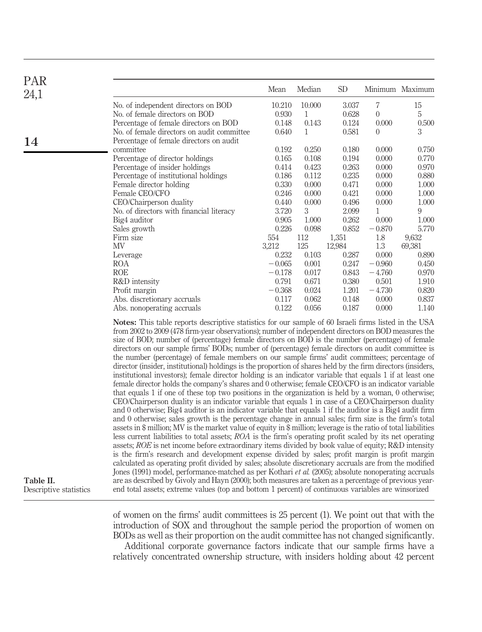| PAR  |                                                                                                                                                                                                              |          |        |           |                |                 |
|------|--------------------------------------------------------------------------------------------------------------------------------------------------------------------------------------------------------------|----------|--------|-----------|----------------|-----------------|
| 24,1 |                                                                                                                                                                                                              | Mean     | Median | <b>SD</b> |                | Minimum Maximum |
|      | No. of independent directors on BOD                                                                                                                                                                          | 10.210   | 10.000 | 3.037     | 7              | 15              |
|      | No. of female directors on BOD                                                                                                                                                                               | 0.930    | 1      | 0.628     | $\Omega$       | 5               |
|      | Percentage of female directors on BOD                                                                                                                                                                        | 0.148    | 0.143  | 0.124     | 0.000          | 0.500           |
|      | No. of female directors on audit committee                                                                                                                                                                   | 0.640    | 1      | 0.581     | $\overline{0}$ | 3               |
| 14   | Percentage of female directors on audit                                                                                                                                                                      |          |        |           |                |                 |
|      | committee                                                                                                                                                                                                    | 0.192    | 0.250  | 0.180     | 0.000          | 0.750           |
|      | Percentage of director holdings                                                                                                                                                                              | 0.165    | 0.108  | 0.194     | 0.000          | 0.770           |
|      | Percentage of insider holdings                                                                                                                                                                               | 0.414    | 0.423  | 0.263     | 0.000          | 0.970           |
|      | Percentage of institutional holdings                                                                                                                                                                         | 0.186    | 0.112  | 0.235     | 0.000          | 0.880           |
|      | Female director holding                                                                                                                                                                                      | 0.330    | 0.000  | 0.471     | 0.000          | 1.000           |
|      | Female CEO/CFO                                                                                                                                                                                               | 0.246    | 0.000  | 0.421     | 0.000          | 1.000           |
|      | CEO/Chairperson duality                                                                                                                                                                                      | 0.440    | 0.000  | 0.496     | 0.000          | 1.000           |
|      | No. of directors with financial literacy                                                                                                                                                                     | 3.720    | 3      | 2.099     | 1              | 9               |
|      | Big4 auditor                                                                                                                                                                                                 | 0.905    | 1.000  | 0.262     | 0.000          | 1.000           |
|      | Sales growth                                                                                                                                                                                                 | 0.226    | 0.098  | 0.852     | $-0.870$       | 5.770           |
|      | Firm size                                                                                                                                                                                                    | 554      | 112    | 1,351     | 1.8            | 9,632           |
|      | <b>MV</b>                                                                                                                                                                                                    | 3,212    | 125    | 12,984    | 1.3            | 69,381          |
|      | Leverage                                                                                                                                                                                                     | 0.232    | 0.103  | 0.287     | 0.000          | 0.890           |
|      | ROA                                                                                                                                                                                                          | $-0.065$ | 0.001  | 0.247     | $-0.960$       | 0.450           |
|      | <b>ROE</b>                                                                                                                                                                                                   | $-0.178$ | 0.017  | 0.843     | $-4.760$       | 0.970           |
|      | R&D intensity                                                                                                                                                                                                | 0.791    | 0.671  | 0.380     | 0.501          | 1.910           |
|      | Profit margin                                                                                                                                                                                                | $-0.368$ | 0.024  | 1.201     | $-4.730$       | 0.820           |
|      | Abs. discretionary accruals                                                                                                                                                                                  | 0.117    | 0.062  | 0.148     | 0.000          | 0.837           |
|      | Abs. nonoperating accruals                                                                                                                                                                                   | 0.122    | 0.056  | 0.187     | 0.000          | 1.140           |
|      | Notes: This table reports descriptive statistics for our sample of 60 Israeli firms listed in the USA<br>from 2002 to 2009 (478 firm-year observations); number of independent directors on BOD measures the |          |        |           |                |                 |

size of BOD; number of (percentage) female directors on BOD is the number (percentage) of female directors on our sample firms' BODs; number of (percentage) female directors on audit committee is the number (percentage) of female members on our sample firms' audit committees; percentage of director (insider, institutional) holdings is the proportion of shares held by the firm directors (insiders, institutional investors); female director holding is an indicator variable that equals 1 if at least one female director holds the company's shares and 0 otherwise; female CEO/CFO is an indicator variable that equals 1 if one of these top two positions in the organization is held by a woman, 0 otherwise; CEO/Chairperson duality is an indicator variable that equals 1 in case of a CEO/Chairperson duality and 0 otherwise; Big4 auditor is an indicator variable that equals 1 if the auditor is a Big4 audit firm and 0 otherwise; sales growth is the percentage change in annual sales; firm size is the firm's total assets in \$ million; MV is the market value of equity in \$ million; leverage is the ratio of total liabilities less current liabilities to total assets; ROA is the firm's operating profit scaled by its net operating assets; ROE is net income before extraordinary items divided by book value of equity; R&D intensity is the firm's research and development expense divided by sales; profit margin is profit margin calculated as operating profit divided by sales; absolute discretionary accruals are from the modified Jones (1991) model, performance-matched as per Kothari et al. (2005); absolute nonoperating accruals are as described by Givoly and Hayn (2000); both measures are taken as a percentage of previous yearend total assets; extreme values (top and bottom 1 percent) of continuous variables are winsorized

Table II. Descriptive statistics

> of women on the firms' audit committees is 25 percent (1). We point out that with the introduction of SOX and throughout the sample period the proportion of women on BODs as well as their proportion on the audit committee has not changed significantly.

> Additional corporate governance factors indicate that our sample firms have a relatively concentrated ownership structure, with insiders holding about 42 percent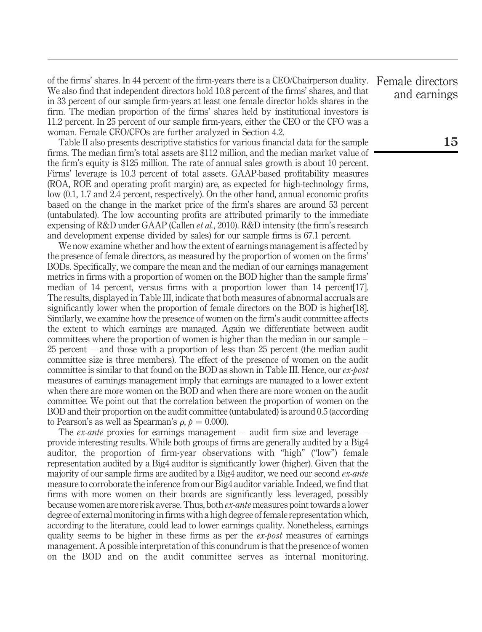of the firms' shares. In 44 percent of the firm-years there is a CEO/Chairperson duality. We also find that independent directors hold 10.8 percent of the firms' shares, and that in 33 percent of our sample firm-years at least one female director holds shares in the firm. The median proportion of the firms' shares held by institutional investors is 11.2 percent. In 25 percent of our sample firm-years, either the CEO or the CFO was a woman. Female CEO/CFOs are further analyzed in Section 4.2.

Table II also presents descriptive statistics for various financial data for the sample firms. The median firm's total assets are \$112 million, and the median market value of the firm's equity is \$125 million. The rate of annual sales growth is about 10 percent. Firms' leverage is 10.3 percent of total assets. GAAP-based profitability measures (ROA, ROE and operating profit margin) are, as expected for high-technology firms, low (0.1, 1.7 and 2.4 percent, respectively). On the other hand, annual economic profits based on the change in the market price of the firm's shares are around 53 percent (untabulated). The low accounting profits are attributed primarily to the immediate expensing of R&D under GAAP (Callen *et al.*, 2010). R&D intensity (the firm's research and development expense divided by sales) for our sample firms is 67.1 percent.

We now examine whether and how the extent of earnings management is affected by the presence of female directors, as measured by the proportion of women on the firms' BODs. Specifically, we compare the mean and the median of our earnings management metrics in firms with a proportion of women on the BOD higher than the sample firms' median of 14 percent, versus firms with a proportion lower than 14 percent[17]. The results, displayed in Table III, indicate that both measures of abnormal accruals are significantly lower when the proportion of female directors on the BOD is higher[18]. Similarly, we examine how the presence of women on the firm's audit committee affects the extent to which earnings are managed. Again we differentiate between audit committees where the proportion of women is higher than the median in our sample – 25 percent – and those with a proportion of less than 25 percent (the median audit committee size is three members). The effect of the presence of women on the audit committee is similar to that found on the BOD as shown in Table III. Hence, our *ex-post* measures of earnings management imply that earnings are managed to a lower extent when there are more women on the BOD and when there are more women on the audit committee. We point out that the correlation between the proportion of women on the BOD and their proportion on the audit committee (untabulated) is around 0.5 (according to Pearson's as well as Spearman's  $\rho$ ,  $p = 0.000$ ).

The *ex-ante* proxies for earnings management – audit firm size and leverage – provide interesting results. While both groups of firms are generally audited by a Big4 auditor, the proportion of firm-year observations with "high" ("low") female representation audited by a Big4 auditor is significantly lower (higher). Given that the majority of our sample firms are audited by a Big4 auditor, we need our second  $ex$ -ante measure to corroborate the inference from our Big4 auditor variable. Indeed, we find that firms with more women on their boards are significantly less leveraged, possibly because women are more risk averse. Thus, both ex-ante measures point towards a lower degree of external monitoring in firms with a high degree of female representation which, according to the literature, could lead to lower earnings quality. Nonetheless, earnings quality seems to be higher in these firms as per the ex-post measures of earnings management. A possible interpretation of this conundrum is that the presence of women on the BOD and on the audit committee serves as internal monitoring.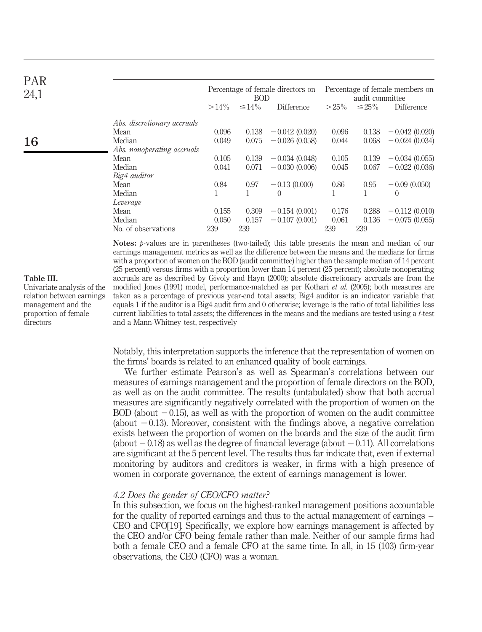Table III.

directors

management and the proportion of female

| T UT<br>24,1 |                                      |         | <b>BOD</b>  | Percentage of female directors on |         | audit committee | Percentage of female members on |
|--------------|--------------------------------------|---------|-------------|-----------------------------------|---------|-----------------|---------------------------------|
|              |                                      | $>14\%$ | $\leq 14\%$ | Difference                        | $>25\%$ | $\leq 25\%$     | Difference                      |
|              | Abs. discretionary accruals          |         |             |                                   |         |                 |                                 |
|              | Mean                                 | 0.096   | 0.138       | $-0.042(0.020)$                   | 0.096   | 0.138           | $-0.042(0.020)$                 |
| 16           | Median<br>Abs. nonoperating accruals | 0.049   | 0.075       | $-0.026(0.058)$                   | 0.044   | 0.068           | $-0.024(0.034)$                 |
|              | Mean                                 | 0.105   | 0.139       | $-0.034(0.048)$                   | 0.105   | 0.139           | $-0.034(0.055)$                 |
|              | Median                               | 0.041   | 0.071       | $-0.030(0.006)$                   | 0.045   | 0.067           | $-0.022(0.036)$                 |
|              | Big4 auditor                         |         |             |                                   |         |                 |                                 |
|              | Mean                                 | 0.84    | 0.97        | $-0.13(0.000)$                    | 0.86    | 0.95            | $-0.09(0.050)$                  |
|              | Median                               |         |             | $\Omega$                          |         |                 | $\Omega$                        |
|              | Leverage                             |         |             |                                   |         |                 |                                 |
|              | Mean                                 | 0.155   | 0.309       | $-0.154(0.001)$                   | 0.176   | 0.288           | $-0.112(0.010)$                 |
|              | Median                               | 0.050   | 0.157       | $-0.107(0.001)$                   | 0.061   | 0.136           | $-0.075(0.055)$                 |
|              | No. of observations                  | 239     | 239         |                                   | 239     | 239             |                                 |

Notes: *p*-values are in parentheses (two-tailed); this table presents the mean and median of our earnings management metrics as well as the difference between the means and the medians for firms with a proportion of women on the BOD (audit committee) higher than the sample median of 14 percent (25 percent) versus firms with a proportion lower than 14 percent (25 percent); absolute nonoperating accruals are as described by Givoly and Hayn (2000); absolute discretionary accruals are from the modified Jones (1991) model, performance-matched as per Kothari et al. (2005); both measures are taken as a percentage of previous year-end total assets; Big4 auditor is an indicator variable that equals 1 if the auditor is a Big4 audit firm and 0 otherwise; leverage is the ratio of total liabilities less current liabilities to total assets; the differences in the means and the medians are tested using a t-test and a Mann-Whitney test, respectively Univariate analysis of the relation between earnings

> Notably, this interpretation supports the inference that the representation of women on the firms' boards is related to an enhanced quality of book earnings.

> We further estimate Pearson's as well as Spearman's correlations between our measures of earnings management and the proportion of female directors on the BOD, as well as on the audit committee. The results (untabulated) show that both accrual measures are significantly negatively correlated with the proportion of women on the BOD (about  $-0.15$ ), as well as with the proportion of women on the audit committee (about  $-0.13$ ). Moreover, consistent with the findings above, a negative correlation exists between the proportion of women on the boards and the size of the audit firm (about  $-0.18$ ) as well as the degree of financial leverage (about  $-0.11$ ). All correlations are significant at the 5 percent level. The results thus far indicate that, even if external monitoring by auditors and creditors is weaker, in firms with a high presence of women in corporate governance, the extent of earnings management is lower.

#### 4.2 Does the gender of CEO/CFO matter?

In this subsection, we focus on the highest-ranked management positions accountable for the quality of reported earnings and thus to the actual management of earnings – CEO and CFO[19]. Specifically, we explore how earnings management is affected by the CEO and/or CFO being female rather than male. Neither of our sample firms had both a female CEO and a female CFO at the same time. In all, in 15 (103) firm-year observations, the CEO (CFO) was a woman.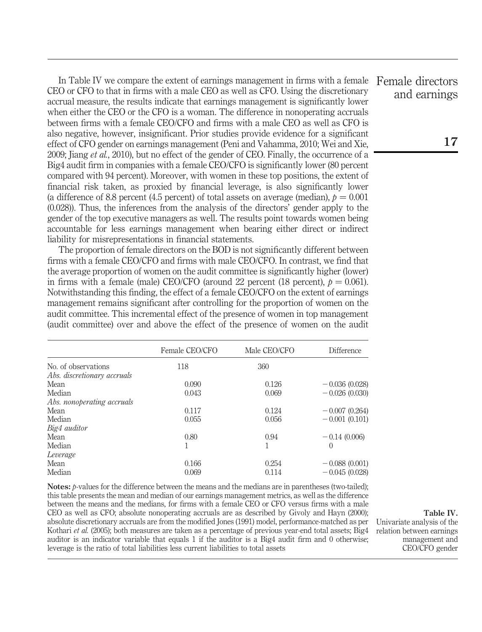In Table IV we compare the extent of earnings management in firms with a female Female directors CEO or CFO to that in firms with a male CEO as well as CFO. Using the discretionary accrual measure, the results indicate that earnings management is significantly lower when either the CEO or the CFO is a woman. The difference in nonoperating accruals between firms with a female CEO/CFO and firms with a male CEO as well as CFO is also negative, however, insignificant. Prior studies provide evidence for a significant effect of CFO gender on earnings management (Peni and Vahamma, 2010; Wei and Xie, 2009; Jiang et al., 2010), but no effect of the gender of CEO. Finally, the occurrence of a Big4 audit firm in companies with a female CEO/CFO is significantly lower (80 percent compared with 94 percent). Moreover, with women in these top positions, the extent of financial risk taken, as proxied by financial leverage, is also significantly lower (a difference of 8.8 percent (4.5 percent) of total assets on average (median),  $p = 0.001$ (0.028)). Thus, the inferences from the analysis of the directors' gender apply to the gender of the top executive managers as well. The results point towards women being accountable for less earnings management when bearing either direct or indirect liability for misrepresentations in financial statements.

The proportion of female directors on the BOD is not significantly different between firms with a female CEO/CFO and firms with male CEO/CFO. In contrast, we find that the average proportion of women on the audit committee is significantly higher (lower) in firms with a female (male) CEO/CFO (around 22 percent (18 percent),  $p = 0.061$ ). Notwithstanding this finding, the effect of a female CEO/CFO on the extent of earnings management remains significant after controlling for the proportion of women on the audit committee. This incremental effect of the presence of women in top management (audit committee) over and above the effect of the presence of women on the audit

|                             | Female CEO/CFO | Male CEO/CFO | Difference      |
|-----------------------------|----------------|--------------|-----------------|
| No. of observations         | 118            | 360          |                 |
| Abs. discretionary accruals |                |              |                 |
| Mean                        | 0.090          | 0.126        | $-0.036(0.028)$ |
| Median                      | 0.043          | 0.069        | $-0.026(0.030)$ |
| Abs. nonoperating accruals  |                |              |                 |
| Mean                        | 0.117          | 0.124        | $-0.007(0.264)$ |
| Median                      | 0.055          | 0.056        | $-0.001(0.101)$ |
| Big4 auditor                |                |              |                 |
| Mean                        | 0.80           | 0.94         | $-0.14(0.006)$  |
| Median                      | 1              |              | $\Omega$        |
| Leverage                    |                |              |                 |
| Mean                        | 0.166          | 0.254        | $-0.088(0.001)$ |
| Median                      | 0.069          | 0.114        | $-0.045(0.028)$ |

Notes: *p*-values for the difference between the means and the medians are in parentheses (two-tailed); this table presents the mean and median of our earnings management metrics, as well as the difference between the means and the medians, for firms with a female CEO or CFO versus firms with a male CEO as well as CFO; absolute nonoperating accruals are as described by Givoly and Hayn (2000); absolute discretionary accruals are from the modified Jones (1991) model, performance-matched as per Kothari *et al.* (2005); both measures are taken as a percentage of previous year-end total assets; Big4 auditor is an indicator variable that equals 1 if the auditor is a Big4 audit firm and 0 otherwise; leverage is the ratio of total liabilities less current liabilities to total assets

Table IV. Univariate analysis of the relation between earnings management and CEO/CFO gender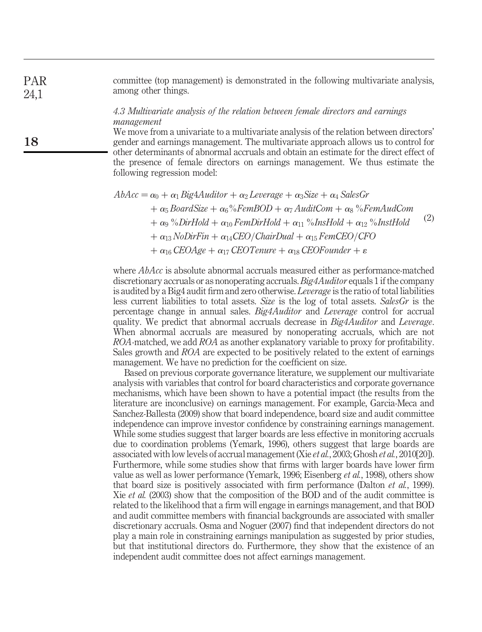committee (top management) is demonstrated in the following multivariate analysis, among other things. PAR 24,1

## 4.3 Multivariate analysis of the relation between female directors and earnings management

We move from a univariate to a multivariate analysis of the relation between directors' gender and earnings management. The multivariate approach allows us to control for other determinants of abnormal accruals and obtain an estimate for the direct effect of the presence of female directors on earnings management. We thus estimate the following regression model:

$$
AbAcc = \alpha_0 + \alpha_1 Big4Auditor + \alpha_2 Leverage + \alpha_3 Size + \alpha_4 SalesGr + \alpha_5 BoardSize + \alpha_6\% FemBOD + \alpha_7 AuditCom + \alpha_8\% FemAudCom + \alpha_9\% DirHold + \alpha_{10} FemDirHold + \alpha_{11}\% InsHold + \alpha_{12}\% InstHold + \alpha_{13} NobirFin + \alpha_{14} CEO/ChairDual + \alpha_{15} FemCEO/CFO + \alpha_{16} CEOAge + \alpha_{17} CEOTenure + \alpha_{18} CEOFounder + \varepsilon
$$

where  $AbAcc$  is absolute abnormal accruals measured either as performance-matched discretionary accruals or as nonoperating accruals. Big4Auditor equals 1 if the company is audited by a Big4 audit firm and zero otherwise. Leverage is the ratio of total liabilities less current liabilities to total assets. Size is the log of total assets. SalesGr is the percentage change in annual sales. Big4Auditor and Leverage control for accrual quality. We predict that abnormal accruals decrease in *Big4Auditor* and *Leverage*. When abnormal accruals are measured by nonoperating accruals, which are not ROA-matched, we add ROA as another explanatory variable to proxy for profitability. Sales growth and ROA are expected to be positively related to the extent of earnings management. We have no prediction for the coefficient on size.

Based on previous corporate governance literature, we supplement our multivariate analysis with variables that control for board characteristics and corporate governance mechanisms, which have been shown to have a potential impact (the results from the literature are inconclusive) on earnings management. For example, Garcia-Meca and Sanchez-Ballesta (2009) show that board independence, board size and audit committee independence can improve investor confidence by constraining earnings management. While some studies suggest that larger boards are less effective in monitoring accruals due to coordination problems (Yemark, 1996), others suggest that large boards are associated with low levels of accrual management (Xie *et al.*, 2003; Ghosh *et al.*, 2010[20]). Furthermore, while some studies show that firms with larger boards have lower firm value as well as lower performance (Yemark, 1996; Eisenberg et al., 1998), others show that board size is positively associated with firm performance (Dalton et al., 1999). Xie *et al.* (2003) show that the composition of the BOD and of the audit committee is related to the likelihood that a firm will engage in earnings management, and that BOD and audit committee members with financial backgrounds are associated with smaller discretionary accruals. Osma and Noguer (2007) find that independent directors do not play a main role in constraining earnings manipulation as suggested by prior studies, but that institutional directors do. Furthermore, they show that the existence of an independent audit committee does not affect earnings management.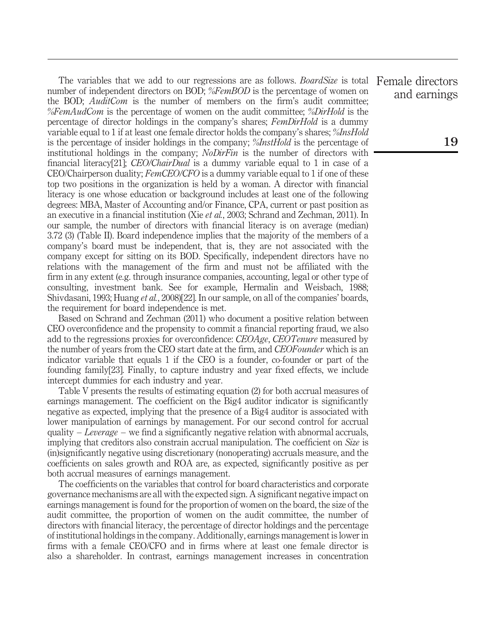The variables that we add to our regressions are as follows. *BoardSize* is total number of independent directors on BOD; *%FemBOD* is the percentage of women on the BOD; *AuditCom* is the number of members on the firm's audit committee;  $\%FemAudCom$  is the percentage of women on the audit committee;  $\%DirHold$  is the percentage of director holdings in the company's shares; FemDirHold is a dummy variable equal to 1 if at least one female director holds the company's shares; %InsHold is the percentage of insider holdings in the company; %InstHold is the percentage of institutional holdings in the company; NoDirFin is the number of directors with financial literacy[21];  $CEO/ChairDual$  is a dummy variable equal to 1 in case of a CEO/Chairperson duality; FemCEO/CFO is a dummy variable equal to 1 if one of these top two positions in the organization is held by a woman. A director with financial literacy is one whose education or background includes at least one of the following degrees: MBA, Master of Accounting and/or Finance, CPA, current or past position as an executive in a financial institution (Xie et al., 2003; Schrand and Zechman, 2011). In our sample, the number of directors with financial literacy is on average (median) 3.72 (3) (Table II). Board independence implies that the majority of the members of a company's board must be independent, that is, they are not associated with the company except for sitting on its BOD. Specifically, independent directors have no relations with the management of the firm and must not be affiliated with the firm in any extent (e.g. through insurance companies, accounting, legal or other type of consulting, investment bank. See for example, Hermalin and Weisbach, 1988; Shivdasani, 1993; Huang et al., 2008)[22]. In our sample, on all of the companies' boards, the requirement for board independence is met.

Based on Schrand and Zechman (2011) who document a positive relation between CEO overconfidence and the propensity to commit a financial reporting fraud, we also add to the regressions proxies for overconfidence: *CEOAge, CEOTenure* measured by the number of years from the CEO start date at the firm, and *CEOFounder* which is an indicator variable that equals 1 if the CEO is a founder, co-founder or part of the founding family[23]. Finally, to capture industry and year fixed effects, we include intercept dummies for each industry and year.

Table V presents the results of estimating equation (2) for both accrual measures of earnings management. The coefficient on the Big4 auditor indicator is significantly negative as expected, implying that the presence of a Big4 auditor is associated with lower manipulation of earnings by management. For our second control for accrual quality – Leverage – we find a significantly negative relation with abnormal accruals, implying that creditors also constrain accrual manipulation. The coefficient on *Size* is (in)significantly negative using discretionary (nonoperating) accruals measure, and the coefficients on sales growth and ROA are, as expected, significantly positive as per both accrual measures of earnings management.

The coefficients on the variables that control for board characteristics and corporate governance mechanisms are all with the expected sign. A significant negative impact on earnings management is found for the proportion of women on the board, the size of the audit committee, the proportion of women on the audit committee, the number of directors with financial literacy, the percentage of director holdings and the percentage of institutional holdings in the company. Additionally, earnings management is lower in firms with a female CEO/CFO and in firms where at least one female director is also a shareholder. In contrast, earnings management increases in concentration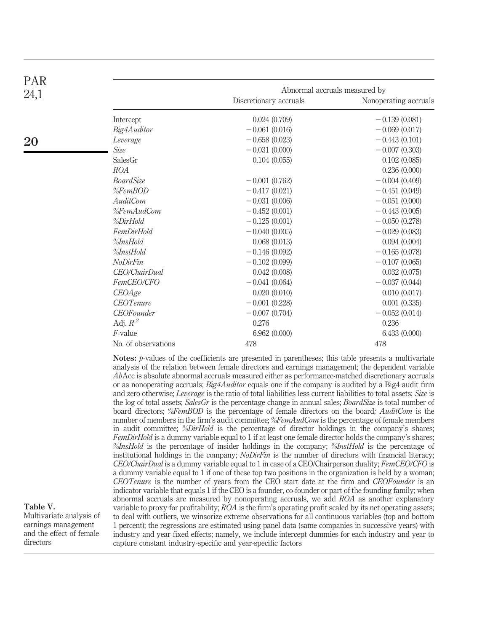|                     |                        | Abnormal accruals measured by |
|---------------------|------------------------|-------------------------------|
|                     | Discretionary accruals | Nonoperating accruals         |
| Intercept           | 0.024(0.709)           | $-0.139(0.081)$               |
| Big4Auditor         | $-0.061(0.016)$        | $-0.069(0.017)$               |
| Leverage            | $-0.658(0.023)$        | $-0.443(0.101)$               |
| Size                | $-0.031(0.000)$        | $-0.007(0.303)$               |
| SalesGr             | 0.104(0.055)           | 0.102(0.085)                  |
| <b>ROA</b>          |                        | 0.236(0.000)                  |
| <b>BoardSize</b>    | $-0.001(0.762)$        | $-0.004(0.409)$               |
| %FemBOD             | $-0.417(0.021)$        | $-0.451(0.049)$               |
| <b>AuditCom</b>     | $-0.031(0.006)$        | $-0.051(0.000)$               |
| %FemAudCom          | $-0.452(0.001)$        | $-0.443(0.005)$               |
| %DirHold            | $-0.125(0.001)$        | $-0.050(0.278)$               |
| FemDirHold          | $-0.040(0.005)$        | $-0.029(0.083)$               |
| %InsHold            | 0.068(0.013)           | 0.094(0.004)                  |
| %InstHold           | $-0.146(0.092)$        | $-0.165(0.078)$               |
| NoDirFin            | $-0.102(0.099)$        | $-0.107(0.065)$               |
| CEO/ChairDual       | 0.042(0.008)           | 0.032(0.075)                  |
| FemCEO/CFO          | $-0.041(0.064)$        | $-0.037(0.044)$               |
| <i>CEOAge</i>       | 0.020(0.010)           | 0.010(0.017)                  |
| <b>CEOTenure</b>    | $-0.001(0.228)$        | 0.001(0.335)                  |
| <b>CEOF</b> ounder  | $-0.007(0.704)$        | $-0.052(0.014)$               |
| Adj. $R^2$          | 0.276                  | 0.236                         |
| $F$ -value          | 6.962(0.000)           | 6.433(0.000)                  |
| No. of observations | 478                    | 478                           |

Notes: *p*-values of the coefficients are presented in parentheses; this table presents a multivariate analysis of the relation between female directors and earnings management; the dependent variable AbAcc is absolute abnormal accruals measured either as performance-matched discretionary accruals or as nonoperating accruals;  $Big4Auditor$  equals one if the company is audited by a Big4 audit firm and zero otherwise; Leverage is the ratio of total liabilities less current liabilities to total assets; Size is the log of total assets; SalesGr is the percentage change in annual sales; BoardSize is total number of board directors; *%FemBOD* is the percentage of female directors on the board; *AuditCom* is the number of members in the firm's audit committee;  $\%FemAudCom$  is the percentage of female members in audit committee; %DirHold is the percentage of director holdings in the company's shares; FemDirHold is a dummy variable equal to 1 if at least one female director holds the company's shares; %InsHold is the percentage of insider holdings in the company; %InstHold is the percentage of institutional holdings in the company; NoDirFin is the number of directors with financial literacy; CEO/ChairDual is a dummy variable equal to 1 in case of a CEO/Chairperson duality; FemCEO/CFO is a dummy variable equal to 1 if one of these top two positions in the organization is held by a woman; CEOTenure is the number of years from the CEO start date at the firm and CEOFounder is an indicator variable that equals 1 if the CEO is a founder, co-founder or part of the founding family; when abnormal accruals are measured by nonoperating accruals, we add ROA as another explanatory variable to proxy for profitability; ROA is the firm's operating profit scaled by its net operating assets; to deal with outliers, we winsorize extreme observations for all continuous variables (top and bottom 1 percent); the regressions are estimated using panel data (same companies in successive years) with industry and year fixed effects; namely, we include intercept dummies for each industry and year to capture constant industry-specific and year-specific factors

## Table V.

Multivariate analysis of earnings management and the effect of female directors

PAR 24,1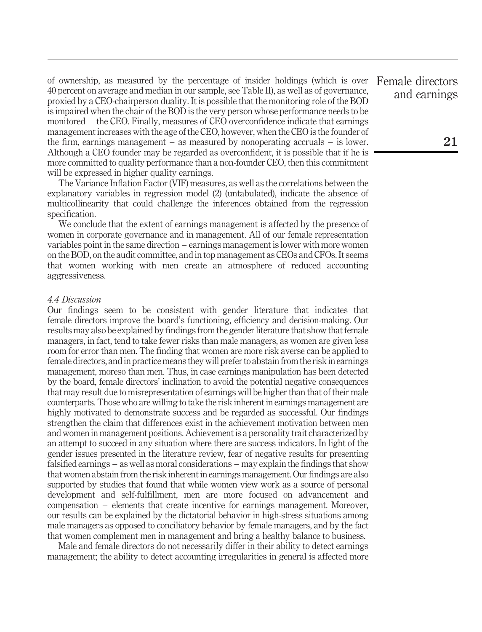of ownership, as measured by the percentage of insider holdings (which is over Female directors 40 percent on average and median in our sample, see Table II), as well as of governance, proxied by a CEO-chairperson duality. It is possible that the monitoring role of the BOD is impaired when the chair of the BOD is the very person whose performance needs to be monitored – the CEO. Finally, measures of CEO overconfidence indicate that earnings management increases with the age of the CEO, however, when the CEO is the founder of the firm, earnings management – as measured by nonoperating accruals – is lower. Although a CEO founder may be regarded as overconfident, it is possible that if he is more committed to quality performance than a non-founder CEO, then this commitment will be expressed in higher quality earnings.

The Variance Inflation Factor (VIF) measures, as well as the correlations between the explanatory variables in regression model (2) (untabulated), indicate the absence of multicollinearity that could challenge the inferences obtained from the regression specification.

We conclude that the extent of earnings management is affected by the presence of women in corporate governance and in management. All of our female representation variables point in the same direction – earnings management is lower with more women on the BOD, on the audit committee, and in top management as CEOs and CFOs. It seems that women working with men create an atmosphere of reduced accounting aggressiveness.

## 4.4 Discussion

Our findings seem to be consistent with gender literature that indicates that female directors improve the board's functioning, efficiency and decision-making. Our results may also be explained by findings from the gender literature that show that female managers, in fact, tend to take fewer risks than male managers, as women are given less room for error than men. The finding that women are more risk averse can be applied to female directors, and in practice means they will prefer to abstain from the risk in earnings management, moreso than men. Thus, in case earnings manipulation has been detected by the board, female directors' inclination to avoid the potential negative consequences that may result due to misrepresentation of earnings will be higher than that of their male counterparts. Those who are willing to take the risk inherent in earnings management are highly motivated to demonstrate success and be regarded as successful. Our findings strengthen the claim that differences exist in the achievement motivation between men and women in management positions. Achievement is a personality trait characterized by an attempt to succeed in any situation where there are success indicators. In light of the gender issues presented in the literature review, fear of negative results for presenting falsified earnings – as well as moral considerations – may explain the findings that show that women abstain from the risk inherent in earnings management. Our findings are also supported by studies that found that while women view work as a source of personal development and self-fulfillment, men are more focused on advancement and compensation – elements that create incentive for earnings management. Moreover, our results can be explained by the dictatorial behavior in high-stress situations among male managers as opposed to conciliatory behavior by female managers, and by the fact that women complement men in management and bring a healthy balance to business.

Male and female directors do not necessarily differ in their ability to detect earnings management; the ability to detect accounting irregularities in general is affected more

and earnings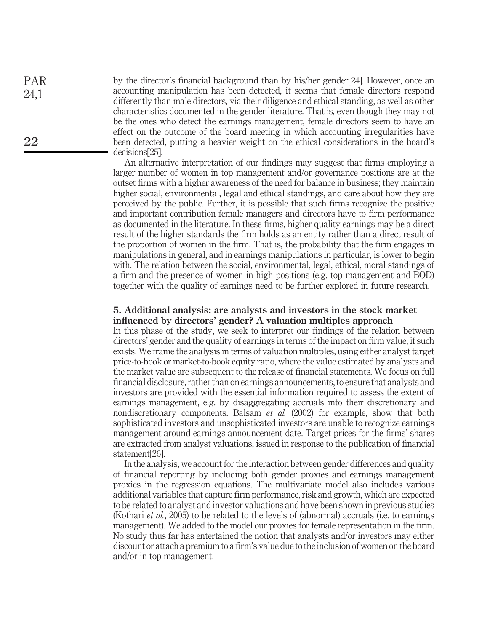by the director's financial background than by his/her gender[24]. However, once an accounting manipulation has been detected, it seems that female directors respond differently than male directors, via their diligence and ethical standing, as well as other characteristics documented in the gender literature. That is, even though they may not be the ones who detect the earnings management, female directors seem to have an effect on the outcome of the board meeting in which accounting irregularities have been detected, putting a heavier weight on the ethical considerations in the board's decisions[25].

An alternative interpretation of our findings may suggest that firms employing a larger number of women in top management and/or governance positions are at the outset firms with a higher awareness of the need for balance in business; they maintain higher social, environmental, legal and ethical standings, and care about how they are perceived by the public. Further, it is possible that such firms recognize the positive and important contribution female managers and directors have to firm performance as documented in the literature. In these firms, higher quality earnings may be a direct result of the higher standards the firm holds as an entity rather than a direct result of the proportion of women in the firm. That is, the probability that the firm engages in manipulations in general, and in earnings manipulations in particular, is lower to begin with. The relation between the social, environmental, legal, ethical, moral standings of a firm and the presence of women in high positions (e.g. top management and BOD) together with the quality of earnings need to be further explored in future research.

## 5. Additional analysis: are analysts and investors in the stock market influenced by directors' gender? A valuation multiples approach

In this phase of the study, we seek to interpret our findings of the relation between directors' gender and the quality of earnings in terms of the impact on firm value, if such exists. We frame the analysis in terms of valuation multiples, using either analyst target price-to-book or market-to-book equity ratio, where the value estimated by analysts and the market value are subsequent to the release of financial statements. We focus on full financial disclosure, rather than on earnings announcements, to ensure that analysts and investors are provided with the essential information required to assess the extent of earnings management, e.g. by disaggregating accruals into their discretionary and nondiscretionary components. Balsam et al. (2002) for example, show that both sophisticated investors and unsophisticated investors are unable to recognize earnings management around earnings announcement date. Target prices for the firms' shares are extracted from analyst valuations, issued in response to the publication of financial statement[26].

In the analysis, we account for the interaction between gender differences and quality of financial reporting by including both gender proxies and earnings management proxies in the regression equations. The multivariate model also includes various additional variables that capture firm performance, risk and growth, which are expected to be related to analyst and investor valuations and have been shown in previous studies (Kothari et al., 2005) to be related to the levels of (abnormal) accruals (i.e. to earnings management). We added to the model our proxies for female representation in the firm. No study thus far has entertained the notion that analysts and/or investors may either discount or attach a premium to a firm's value due to the inclusion of women on the board and/or in top management.

PAR 24,1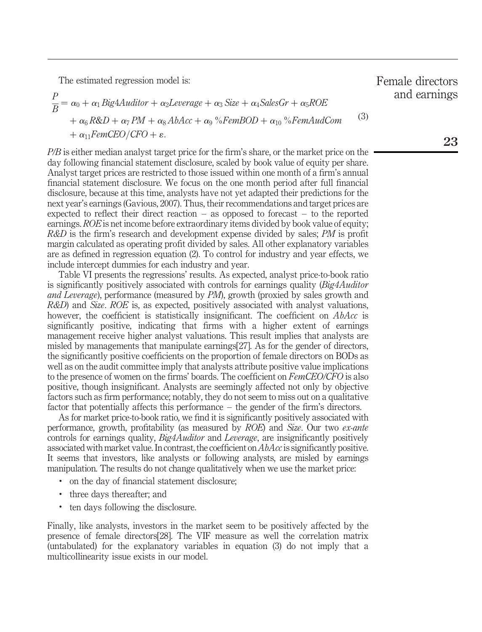The estimated regression model is:

$$
\frac{P}{B} = \alpha_0 + \alpha_1 Big4Auditor + \alpha_2 Leverage + \alpha_3 Size + \alpha_4 SalesGr + \alpha_5 ROE
$$
  
+  $\alpha_6 R&D + \alpha_7 PM + \alpha_8 AbAcc + \alpha_9 \% FemBOD + \alpha_{10} \% FemAudCom$  (3)  
+  $\alpha_{11} FemCEO/CFO + \varepsilon$ .

P/B is either median analyst target price for the firm's share, or the market price on the day following financial statement disclosure, scaled by book value of equity per share. Analyst target prices are restricted to those issued within one month of a firm's annual financial statement disclosure. We focus on the one month period after full financial disclosure, because at this time, analysts have not yet adapted their predictions for the next year's earnings (Gavious, 2007). Thus, their recommendations and target prices are expected to reflect their direct reaction – as opposed to forecast – to the reported earnings. ROE is net income before extraordinary items divided by book value of equity; R&D is the firm's research and development expense divided by sales; PM is profit margin calculated as operating profit divided by sales. All other explanatory variables are as defined in regression equation (2). To control for industry and year effects, we include intercept dummies for each industry and year.

Table VI presents the regressions' results. As expected, analyst price-to-book ratio is significantly positively associated with controls for earnings quality (Big4Auditor and Leverage), performance (measured by PM), growth (proxied by sales growth and R&D) and Size. ROE is, as expected, positively associated with analyst valuations, however, the coefficient is statistically insignificant. The coefficient on  $AbAcc$  is significantly positive, indicating that firms with a higher extent of earnings management receive higher analyst valuations. This result implies that analysts are misled by managements that manipulate earnings[27]. As for the gender of directors, the significantly positive coefficients on the proportion of female directors on BODs as well as on the audit committee imply that analysts attribute positive value implications to the presence of women on the firms' boards. The coefficient on  $FemceO/CFO$  is also positive, though insignificant. Analysts are seemingly affected not only by objective factors such as firm performance; notably, they do not seem to miss out on a qualitative factor that potentially affects this performance – the gender of the firm's directors.

As for market price-to-book ratio, we find it is significantly positively associated with performance, growth, profitability (as measured by ROE) and Size. Our two ex-ante controls for earnings quality, *Big4Auditor* and *Leverage*, are insignificantly positively associated with market value. In contrast, the coefficient on  $AbAcc$  is significantly positive. It seems that investors, like analysts or following analysts, are misled by earnings manipulation. The results do not change qualitatively when we use the market price:

- . on the day of financial statement disclosure;
- . three days thereafter; and
- . ten days following the disclosure.

Finally, like analysts, investors in the market seem to be positively affected by the presence of female directors[28]. The VIF measure as well the correlation matrix (untabulated) for the explanatory variables in equation (3) do not imply that a multicollinearity issue exists in our model.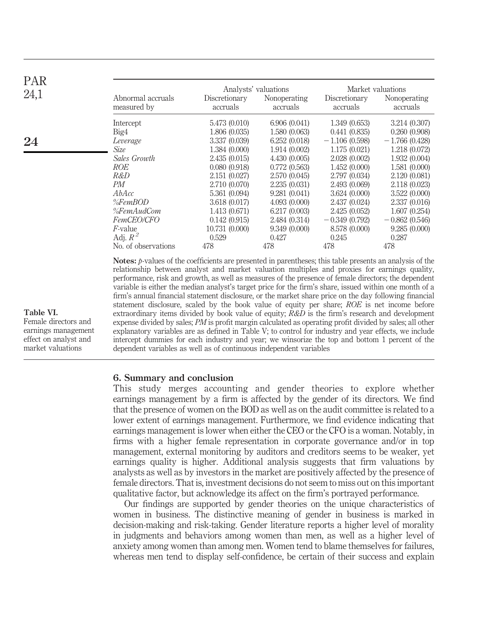| <b>PAR</b> |                                                                                                                                                                                                                                                                                                                          |                               | Analysts' valuations         | Market valuations               |                                 |
|------------|--------------------------------------------------------------------------------------------------------------------------------------------------------------------------------------------------------------------------------------------------------------------------------------------------------------------------|-------------------------------|------------------------------|---------------------------------|---------------------------------|
| 24,1       | Abnormal accruals<br>measured by                                                                                                                                                                                                                                                                                         | Discretionary<br>accruals     | Nonoperating<br>accruals     | Discretionary<br>accruals       | Nonoperating<br>accruals        |
|            | Intercept                                                                                                                                                                                                                                                                                                                | 5.473 (0.010)                 | 6.906(0.041)                 | 1.349(0.653)                    | 3.214 (0.307)                   |
| 24         | Big4<br>Leverage                                                                                                                                                                                                                                                                                                         | 1.806(0.035)<br>3.337 (0.039) | 1.580(0.063)<br>6.252(0.018) | 0.441(0.835)<br>$-1.106(0.598)$ | 0.260(0.908)<br>$-1.766(0.428)$ |
|            | Size                                                                                                                                                                                                                                                                                                                     | 1.384(0.000)                  | 1.914(0.002)                 | 1.175(0.021)                    | 1.218 (0.072)                   |
|            | Sales Growth                                                                                                                                                                                                                                                                                                             | 2.435(0.015)                  | 4.430(0.005)                 | 2.028(0.002)                    | 1.932(0.004)                    |
|            | <b>ROE</b>                                                                                                                                                                                                                                                                                                               | 0.080(0.918)                  | 0.772(0.563)                 | 1.452(0.000)                    | 1.581(0.000)                    |
|            | R&D                                                                                                                                                                                                                                                                                                                      | 2.151(0.027)                  | 2.570 (0.045)                | 2.797 (0.034)                   | 2.120 (0.081)                   |
|            | PM                                                                                                                                                                                                                                                                                                                       | 2.710 (0.070)                 | 2.235(0.031)                 | 2.493 (0.069)                   | 2.118 (0.023)                   |
|            | AbAcc                                                                                                                                                                                                                                                                                                                    | 5.361 (0.094)                 | 9.281(0.041)                 | 3.624(0.000)                    | 3.522(0.000)                    |
|            | %FemBOD                                                                                                                                                                                                                                                                                                                  | 3.618(0.017)                  | 4.093(0.000)                 | 2.437 (0.024)                   | 2.337(0.016)                    |
|            | %FemAudCom                                                                                                                                                                                                                                                                                                               | 1.413(0.671)                  | 6.217(0.003)                 | 2.425(0.052)                    | 1.607(0.254)                    |
|            | FemCEO/CFO                                                                                                                                                                                                                                                                                                               | 0.142(0.915)                  | 2.484 (0.314)                | $-0.349(0.792)$                 | $-0.862(0.546)$                 |
|            | $F$ -value                                                                                                                                                                                                                                                                                                               | 10.731 (0.000)                | 9.349(0.000)                 | 8.578 (0.000)                   | 9.285(0.000)                    |
|            | Adj. $R^2$                                                                                                                                                                                                                                                                                                               | 0.529                         | 0.427                        | 0.245                           | 0.287                           |
|            | No. of observations                                                                                                                                                                                                                                                                                                      | 478                           | 478                          | 478                             | 478                             |
|            | <b>Notes:</b> p-values of the coefficients are presented in parentheses; this table presents an analysis of the<br>relationship between analyst and market valuation multiples and proxies for earnings quality,<br>performance, risk and growth, as well as measures of the presence of female directors; the dependent |                               |                              |                                 |                                 |

relationship between analyst and market valuation multiples and proxies for earnings quality, performance, risk and growth, as well as measures of the presence of female directors; the dependent variable is either the median analyst's target price for the firm's share, issued within one month of a firm's annual financial statement disclosure, or the market share price on the day following financial statement disclosure, scaled by the book value of equity per share; ROE is net income before extraordinary items divided by book value of equity;  $R&D$  is the firm's research and development expense divided by sales; PM is profit margin calculated as operating profit divided by sales; all other explanatory variables are as defined in Table V; to control for industry and year effects, we include intercept dummies for each industry and year; we winsorize the top and bottom 1 percent of the dependent variables as well as of continuous independent variables

## Table VI.

Female directors and earnings management effect on analyst and market valuations

## 6. Summary and conclusion

This study merges accounting and gender theories to explore whether earnings management by a firm is affected by the gender of its directors. We find that the presence of women on the BOD as well as on the audit committee is related to a lower extent of earnings management. Furthermore, we find evidence indicating that earnings management is lower when either the CEO or the CFO is a woman. Notably, in firms with a higher female representation in corporate governance and/or in top management, external monitoring by auditors and creditors seems to be weaker, yet earnings quality is higher. Additional analysis suggests that firm valuations by analysts as well as by investors in the market are positively affected by the presence of female directors. That is, investment decisions do not seem to miss out on this important qualitative factor, but acknowledge its affect on the firm's portrayed performance.

Our findings are supported by gender theories on the unique characteristics of women in business. The distinctive meaning of gender in business is marked in decision-making and risk-taking. Gender literature reports a higher level of morality in judgments and behaviors among women than men, as well as a higher level of anxiety among women than among men. Women tend to blame themselves for failures, whereas men tend to display self-confidence, be certain of their success and explain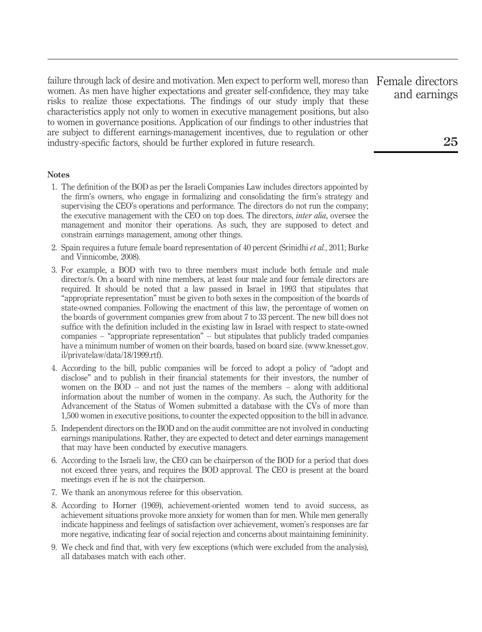failure through lack of desire and motivation. Men expect to perform well, moreso than Female directors women. As men have higher expectations and greater self-confidence, they may take risks to realize those expectations. The findings of our study imply that these characteristics apply not only to women in executive management positions, but also to women in governance positions. Application of our findings to other industries that are subject to different earnings-management incentives, due to regulation or other industry-specific factors, should be further explored in future research.

#### **Notes**

- 1. The definition of the BOD as per the Israeli Companies Law includes directors appointed by the firm's owners, who engage in formalizing and consolidating the firm's strategy and supervising the CEO's operations and performance. The directors do not run the company; the executive management with the CEO on top does. The directors, inter alia, oversee the management and monitor their operations. As such, they are supposed to detect and constrain earnings management, among other things.
- 2. Spain requires a future female board representation of 40 percent (Srinidhi et al., 2011; Burke and Vinnicombe, 2008).
- 3. For example, a BOD with two to three members must include both female and male director/s. On a board with nine members, at least four male and four female directors are required. It should be noted that a law passed in Israel in 1993 that stipulates that "appropriate representation" must be given to both sexes in the composition of the boards of state-owned companies. Following the enactment of this law, the percentage of women on the boards of government companies grew from about 7 to 33 percent. The new bill does not suffice with the definition included in the existing law in Israel with respect to state-owned companies – "appropriate representation" – but stipulates that publicly traded companies have a minimum number of women on their boards, based on board size. (www.knesset.gov. il/privatelaw/data/18/1999.rtf).
- 4. According to the bill, public companies will be forced to adopt a policy of "adopt and disclose" and to publish in their financial statements for their investors, the number of women on the BOD – and not just the names of the members – along with additional information about the number of women in the company. As such, the Authority for the Advancement of the Status of Women submitted a database with the CVs of more than 1,500 women in executive positions, to counter the expected opposition to the bill in advance.
- 5. Independent directors on the BOD and on the audit committee are not involved in conducting earnings manipulations. Rather, they are expected to detect and deter earnings management that may have been conducted by executive managers.
- 6. According to the Israeli law, the CEO can be chairperson of the BOD for a period that does not exceed three years, and requires the BOD approval. The CEO is present at the board meetings even if he is not the chairperson.
- 7. We thank an anonymous referee for this observation.
- 8. According to Horner (1969), achievement-oriented women tend to avoid success, as achievement situations provoke more anxiety for women than for men. While men generally indicate happiness and feelings of satisfaction over achievement, women's responses are far more negative, indicating fear of social rejection and concerns about maintaining femininity.
- 9. We check and find that, with very few exceptions (which were excluded from the analysis), all databases match with each other.

and earnings

25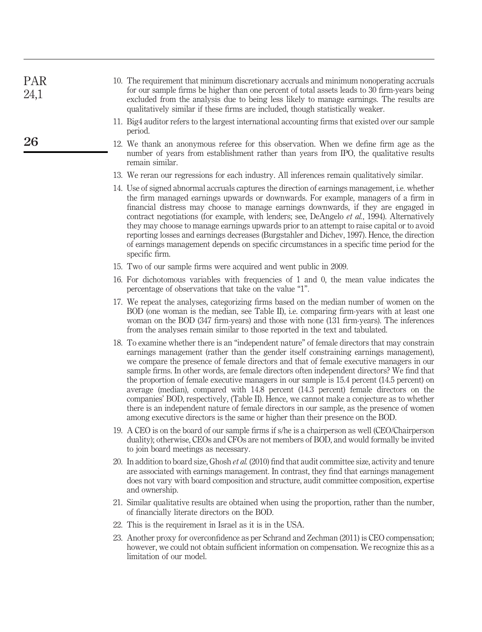| <b>PAR</b><br>24,1 | 10. The requirement that minimum discretionary accruals and minimum nonoperating accruals<br>for our sample firms be higher than one percent of total assets leads to 30 firm-years being<br>excluded from the analysis due to being less likely to manage earnings. The results are<br>qualitatively similar if these firms are included, though statistically weaker.                                                                                                                                                                                                                                                                                                                                                                                                                                                                                  |
|--------------------|----------------------------------------------------------------------------------------------------------------------------------------------------------------------------------------------------------------------------------------------------------------------------------------------------------------------------------------------------------------------------------------------------------------------------------------------------------------------------------------------------------------------------------------------------------------------------------------------------------------------------------------------------------------------------------------------------------------------------------------------------------------------------------------------------------------------------------------------------------|
|                    | 11. Big4 auditor refers to the largest international accounting firms that existed over our sample<br>period.                                                                                                                                                                                                                                                                                                                                                                                                                                                                                                                                                                                                                                                                                                                                            |
| 26                 | 12. We thank an anonymous referee for this observation. When we define firm age as the<br>number of years from establishment rather than years from IPO, the qualitative results<br>remain similar.                                                                                                                                                                                                                                                                                                                                                                                                                                                                                                                                                                                                                                                      |
|                    | 13. We reran our regressions for each industry. All inferences remain qualitatively similar.                                                                                                                                                                                                                                                                                                                                                                                                                                                                                                                                                                                                                                                                                                                                                             |
|                    | 14. Use of signed abnormal accruals captures the direction of earnings management, i.e. whether<br>the firm managed earnings upwards or downwards. For example, managers of a firm in<br>financial distress may choose to manage earnings downwards, if they are engaged in<br>contract negotiations (for example, with lenders; see, DeAngelo <i>et al.</i> , 1994). Alternatively<br>they may choose to manage earnings upwards prior to an attempt to raise capital or to avoid<br>reporting losses and earnings decreases (Burgstahler and Dichev, 1997). Hence, the direction<br>of earnings management depends on specific circumstances in a specific time period for the<br>specific firm.                                                                                                                                                       |
|                    | 15. Two of our sample firms were acquired and went public in 2009.                                                                                                                                                                                                                                                                                                                                                                                                                                                                                                                                                                                                                                                                                                                                                                                       |
|                    | 16. For dichotomous variables with frequencies of 1 and 0, the mean value indicates the<br>percentage of observations that take on the value "1".                                                                                                                                                                                                                                                                                                                                                                                                                                                                                                                                                                                                                                                                                                        |
|                    | 17. We repeat the analyses, categorizing firms based on the median number of women on the<br>BOD (one woman is the median, see Table II), i.e. comparing firm-years with at least one<br>woman on the BOD (347 firm-years) and those with none (131 firm-years). The inferences<br>from the analyses remain similar to those reported in the text and tabulated.                                                                                                                                                                                                                                                                                                                                                                                                                                                                                         |
|                    | 18. To examine whether there is an "independent nature" of female directors that may constrain<br>earnings management (rather than the gender itself constraining earnings management),<br>we compare the presence of female directors and that of female executive managers in our<br>sample firms. In other words, are female directors often independent directors? We find that<br>the proportion of female executive managers in our sample is 15.4 percent (14.5 percent) on<br>average (median), compared with 14.8 percent (14.3 percent) female directors on the<br>companies' BOD, respectively, (Table II). Hence, we cannot make a conjecture as to whether<br>there is an independent nature of female directors in our sample, as the presence of women<br>among executive directors is the same or higher than their presence on the BOD. |
|                    | 19. A CEO is on the board of our sample firms if s/he is a chairperson as well (CEO/Chairperson<br>duality); otherwise, CEOs and CFOs are not members of BOD, and would formally be invited<br>to join board meetings as necessary.                                                                                                                                                                                                                                                                                                                                                                                                                                                                                                                                                                                                                      |
|                    | 20. In addition to board size, Ghosh et al. (2010) find that audit committee size, activity and tenure<br>are associated with earnings management. In contrast, they find that earnings management<br>does not vary with board composition and structure, audit committee composition, expertise<br>and ownership.                                                                                                                                                                                                                                                                                                                                                                                                                                                                                                                                       |
|                    | 21. Similar qualitative results are obtained when using the proportion, rather than the number,<br>of financially literate directors on the BOD.                                                                                                                                                                                                                                                                                                                                                                                                                                                                                                                                                                                                                                                                                                         |
|                    | 22. This is the requirement in Israel as it is in the USA.                                                                                                                                                                                                                                                                                                                                                                                                                                                                                                                                                                                                                                                                                                                                                                                               |
|                    | 23. Another proxy for overconfidence as per Schrand and Zechman (2011) is CEO compensation;<br>however, we could not obtain sufficient information on compensation. We recognize this as a<br>limitation of our model.                                                                                                                                                                                                                                                                                                                                                                                                                                                                                                                                                                                                                                   |
|                    |                                                                                                                                                                                                                                                                                                                                                                                                                                                                                                                                                                                                                                                                                                                                                                                                                                                          |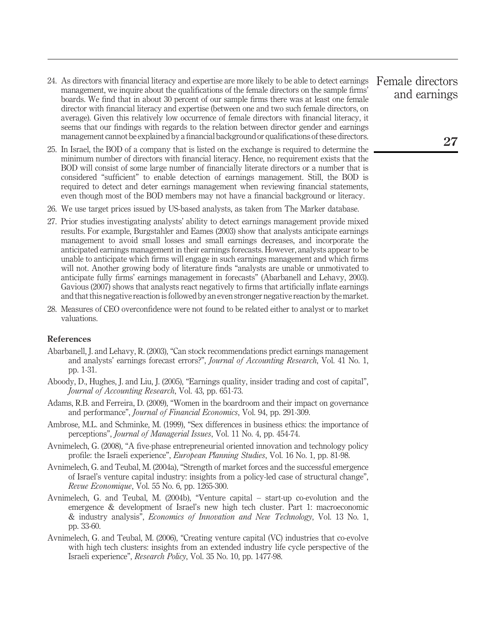- 24. As directors with financial literacy and expertise are more likely to be able to detect earnings management, we inquire about the qualifications of the female directors on the sample firms' boards. We find that in about 30 percent of our sample firms there was at least one female director with financial literacy and expertise (between one and two such female directors, on average). Given this relatively low occurrence of female directors with financial literacy, it seems that our findings with regards to the relation between director gender and earnings management cannot be explained by a financial background or qualifications of these directors.
- 25. In Israel, the BOD of a company that is listed on the exchange is required to determine the minimum number of directors with financial literacy. Hence, no requirement exists that the BOD will consist of some large number of financially literate directors or a number that is considered "sufficient" to enable detection of earnings management. Still, the BOD is required to detect and deter earnings management when reviewing financial statements, even though most of the BOD members may not have a financial background or literacy.
- 26. We use target prices issued by US-based analysts, as taken from The Marker database.
- 27. Prior studies investigating analysts' ability to detect earnings management provide mixed results. For example, Burgstahler and Eames (2003) show that analysts anticipate earnings management to avoid small losses and small earnings decreases, and incorporate the anticipated earnings management in their earnings forecasts. However, analysts appear to be unable to anticipate which firms will engage in such earnings management and which firms will not. Another growing body of literature finds "analysts are unable or unmotivated to anticipate fully firms' earnings management in forecasts" (Abarbanell and Lehavy, 2003). Gavious (2007) shows that analysts react negatively to firms that artificially inflate earnings and that this negative reaction is followed by an even stronger negative reaction by the market.
- 28. Measures of CEO overconfidence were not found to be related either to analyst or to market valuations.

#### References

- Abarbanell, J. and Lehavy, R. (2003), "Can stock recommendations predict earnings management and analysts' earnings forecast errors?", Journal of Accounting Research, Vol. 41 No. 1, pp. 1-31.
- Aboody, D., Hughes, J. and Liu, J. (2005), "Earnings quality, insider trading and cost of capital", Journal of Accounting Research, Vol. 43, pp. 651-73.
- Adams, R.B. and Ferreira, D. (2009), "Women in the boardroom and their impact on governance and performance", Journal of Financial Economics, Vol. 94, pp. 291-309.
- Ambrose, M.L. and Schminke, M. (1999), "Sex differences in business ethics: the importance of perceptions", Journal of Managerial Issues, Vol. 11 No. 4, pp. 454-74.
- Avnimelech, G. (2008), "A five-phase entrepreneurial oriented innovation and technology policy profile: the Israeli experience", European Planning Studies, Vol. 16 No. 1, pp. 81-98.
- Avnimelech, G. and Teubal, M. (2004a), "Strength of market forces and the successful emergence of Israel's venture capital industry: insights from a policy-led case of structural change", Revue Economique, Vol. 55 No. 6, pp. 1265-300.
- Avnimelech, G. and Teubal, M. (2004b), "Venture capital start-up co-evolution and the emergence & development of Israel's new high tech cluster. Part 1: macroeconomic & industry analysis", Economics of Innovation and New Technology, Vol. 13 No. 1, pp. 33-60.
- Avnimelech, G. and Teubal, M. (2006), "Creating venture capital (VC) industries that co-evolve with high tech clusters: insights from an extended industry life cycle perspective of the Israeli experience", Research Policy, Vol. 35 No. 10, pp. 1477-98.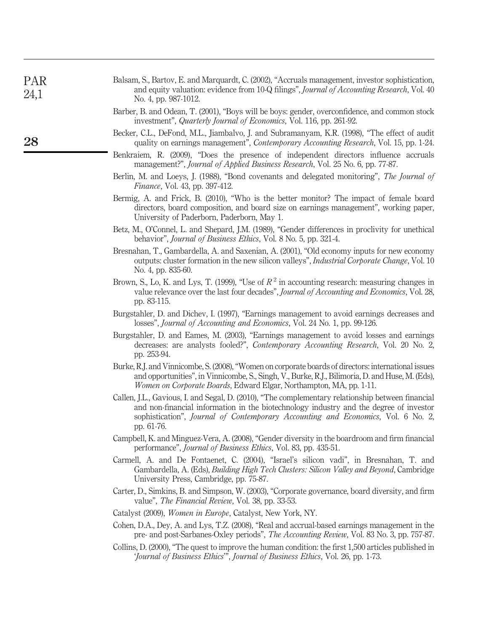| PAR<br>24,1 | Balsam, S., Bartov, E. and Marquardt, C. (2002), "Accruals management, investor sophistication,<br>and equity valuation: evidence from 10-Q filings", Journal of Accounting Research, Vol. 40<br>No. 4, pp. 987-1012.                                                                         |
|-------------|-----------------------------------------------------------------------------------------------------------------------------------------------------------------------------------------------------------------------------------------------------------------------------------------------|
|             | Barber, B. and Odean, T. (2001), "Boys will be boys: gender, overconfidence, and common stock<br>investment", Quarterly Journal of Economics, Vol. 116, pp. 261-92.                                                                                                                           |
| 28          | Becker, C.L., DeFond, M.L., Jiambalvo, J. and Subramanyam, K.R. (1998), "The effect of audit<br>quality on earnings management", Contemporary Accounting Research, Vol. 15, pp. 1-24.                                                                                                         |
|             | Benkraiem, R. (2009), "Does the presence of independent directors influence accruals<br>management?", Journal of Applied Business Research, Vol. 25 No. 6, pp. 77-87.                                                                                                                         |
|             | Berlin, M. and Loeys, J. (1988), "Bond covenants and delegated monitoring", The Journal of<br><i>Finance</i> , Vol. 43, pp. 397-412.                                                                                                                                                          |
|             | Bermig, A. and Frick, B. (2010), "Who is the better monitor? The impact of female board<br>directors, board composition, and board size on earnings management", working paper,<br>University of Paderborn, Paderborn, May 1.                                                                 |
|             | Betz, M., O'Connel, L. and Shepard, J.M. (1989), "Gender differences in proclivity for unethical<br>behavior", Journal of Business Ethics, Vol. 8 No. 5, pp. 321-4.                                                                                                                           |
|             | Bresnahan, T., Gambardella, A. and Saxenian, A. (2001), "Old economy inputs for new economy<br>outputs: cluster formation in the new silicon valleys", <i>Industrial Corporate Change</i> , Vol. 10<br>No. 4, pp. 835-60.                                                                     |
|             | Brown, S., Lo, K. and Lys, T. (1999), "Use of $R^2$ in accounting research: measuring changes in<br>value relevance over the last four decades", Journal of Accounting and Economics, Vol. 28,<br>pp. 83-115.                                                                                 |
|             | Burgstahler, D. and Dichev, I. (1997), "Earnings management to avoid earnings decreases and<br>losses", Journal of Accounting and Economics, Vol. 24 No. 1, pp. 99-126.                                                                                                                       |
|             | Burgstahler, D. and Eames, M. (2003), "Earnings management to avoid losses and earnings<br>decreases: are analysts fooled?", Contemporary Accounting Research, Vol. 20 No. 2,<br>pp. 253-94.                                                                                                  |
|             | Burke, R.J. and Vinnicombe, S. (2008), "Women on corporate boards of directors: international issues<br>and opportunities", in Vinnicombe, S., Singh, V., Burke, R.J., Bilimoria, D. and Huse, M. (Eds),<br><i>Women on Corporate Boards</i> , Edward Elgar, Northampton, MA, pp. 1-11.       |
|             | Callen, J.L., Gavious, I. and Segal, D. (2010), "The complementary relationship between financial<br>and non-financial information in the biotechnology industry and the degree of investor<br>sophistication", Journal of Contemporary Accounting and Economics, Vol. 6 No. 2,<br>pp. 61-76. |
|             | Campbell, K. and Minguez-Vera, A. (2008), "Gender diversity in the boardroom and firm financial<br>performance", Journal of Business Ethics, Vol. 83, pp. 435-51.                                                                                                                             |
|             | Carmell, A. and De Fontaenet, C. (2004), "Israel's silicon vadi", in Bresnahan, T. and<br>Gambardella, A. (Eds), Building High Tech Clusters: Silicon Valley and Beyond, Cambridge<br>University Press, Cambridge, pp. 75-87.                                                                 |
|             | Carter, D., Simkins, B. and Simpson, W. (2003), "Corporate governance, board diversity, and firm<br>value", The Financial Review, Vol. 38, pp. 33-53.                                                                                                                                         |
|             | Catalyst (2009), <i>Women in Europe</i> , Catalyst, New York, NY.                                                                                                                                                                                                                             |
|             | Cohen, D.A., Dey, A. and Lys, T.Z. (2008), "Real and accrual-based earnings management in the<br>pre- and post-Sarbanes-Oxley periods", The Accounting Review, Vol. 83 No. 3, pp. 757-87.                                                                                                     |
|             | Collins, D. (2000), "The quest to improve the human condition: the first 1,500 articles published in<br><i>'Journal of Business Ethics''', Journal of Business Ethics, Vol. 26, pp. 1-73.</i>                                                                                                 |
|             |                                                                                                                                                                                                                                                                                               |

28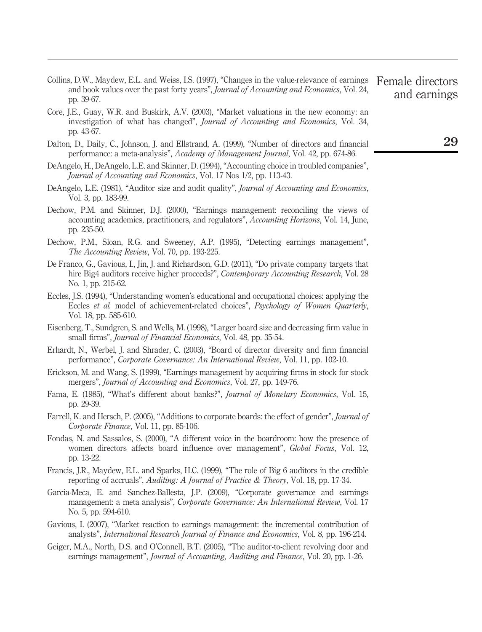- Collins, D.W., Maydew, E.L. and Weiss, I.S. (1997), "Changes in the value-relevance of earnings and book values over the past forty years", Journal of Accounting and Economics, Vol. 24, pp. 39-67. Female directors
- Core, J.E., Guay, W.R. and Buskirk, A.V. (2003), "Market valuations in the new economy: an investigation of what has changed", Journal of Accounting and Economics, Vol. 34, pp. 43-67.
- Dalton, D., Daily, C., Johnson, J. and Ellstrand, A. (1999), "Number of directors and financial performance: a meta-analysis", Academy of Management Journal, Vol. 42, pp. 674-86.
- DeAngelo, H., DeAngelo, L.E. and Skinner, D. (1994), "Accounting choice in troubled companies", Journal of Accounting and Economics, Vol. 17 Nos 1/2, pp. 113-43.
- DeAngelo, L.E. (1981), "Auditor size and audit quality", *Journal of Accounting and Economics*, Vol. 3, pp. 183-99.
- Dechow, P.M. and Skinner, D.J. (2000), "Earnings management: reconciling the views of accounting academics, practitioners, and regulators", Accounting Horizons, Vol. 14, June, pp. 235-50.
- Dechow, P.M., Sloan, R.G. and Sweeney, A.P. (1995), "Detecting earnings management", The Accounting Review, Vol. 70, pp. 193-225.
- De Franco, G., Gavious, I., Jin, J. and Richardson, G.D. (2011), "Do private company targets that hire Big4 auditors receive higher proceeds?", *Contemporary Accounting Research*, Vol. 28 No. 1, pp. 215-62.
- Eccles, J.S. (1994), "Understanding women's educational and occupational choices: applying the Eccles et al. model of achievement-related choices", Psychology of Women Quarterly, Vol. 18, pp. 585-610.
- Eisenberg, T., Sundgren, S. and Wells, M. (1998), "Larger board size and decreasing firm value in small firms", Journal of Financial Economics, Vol. 48, pp. 35-54.
- Erhardt, N., Werbel, J. and Shrader, C. (2003), "Board of director diversity and firm financial performance", Corporate Governance: An International Review, Vol. 11, pp. 102-10.
- Erickson, M. and Wang, S. (1999), "Earnings management by acquiring firms in stock for stock mergers", Journal of Accounting and Economics, Vol. 27, pp. 149-76.
- Fama, E. (1985), "What's different about banks?", Journal of Monetary Economics, Vol. 15, pp. 29-39.
- Farrell, K. and Hersch, P. (2005), "Additions to corporate boards: the effect of gender", Journal of Corporate Finance, Vol. 11, pp. 85-106.
- Fondas, N. and Sassalos, S. (2000), "A different voice in the boardroom: how the presence of women directors affects board influence over management", Global Focus, Vol. 12, pp. 13-22.
- Francis, J.R., Maydew, E.L. and Sparks, H.C. (1999), "The role of Big 6 auditors in the credible reporting of accruals", Auditing: A Journal of Practice & Theory, Vol. 18, pp. 17-34.
- Garcia-Meca, E. and Sanchez-Ballesta, J.P. (2009), "Corporate governance and earnings management: a meta analysis", Corporate Governance: An International Review, Vol. 17 No. 5, pp. 594-610.
- Gavious, I. (2007), "Market reaction to earnings management: the incremental contribution of analysts", International Research Journal of Finance and Economics, Vol. 8, pp. 196-214.
- Geiger, M.A., North, D.S. and O'Connell, B.T. (2005), "The auditor-to-client revolving door and earnings management", Journal of Accounting, Auditing and Finance, Vol. 20, pp. 1-26.

and earnings

29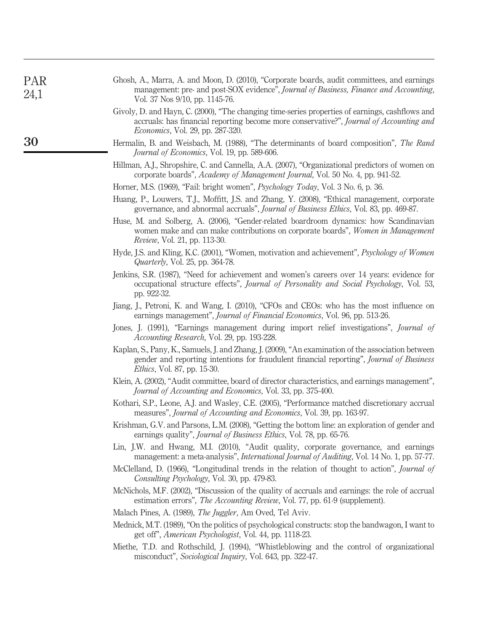| <b>PAR</b><br>24,1 | Ghosh, A., Marra, A. and Moon, D. (2010), "Corporate boards, audit committees, and earnings<br>management: pre- and post-SOX evidence", <i>Journal of Business, Finance and Accounting</i> ,<br>Vol. 37 Nos 9/10, pp. 1145-76.        |
|--------------------|---------------------------------------------------------------------------------------------------------------------------------------------------------------------------------------------------------------------------------------|
|                    | Givoly, D. and Hayn, C. (2000), "The changing time-series properties of earnings, cashflows and<br>accruals: has financial reporting become more conservative?", Journal of Accounting and<br>Economics, Vol. 29, pp. 287-320.        |
| 30                 | Hermalin, B. and Weisbach, M. (1988), "The determinants of board composition", The Rand<br><i>Journal of Economics</i> , Vol. 19, pp. 589-606.                                                                                        |
|                    | Hillman, A.J., Shropshire, C. and Cannella, A.A. (2007), "Organizational predictors of women on<br>corporate boards", Academy of Management Journal, Vol. 50 No. 4, pp. 941-52.                                                       |
|                    | Horner, M.S. (1969), "Fail: bright women", Psychology Today, Vol. 3 No. 6, p. 36.                                                                                                                                                     |
|                    | Huang, P., Louwers, T.J., Moffitt, J.S. and Zhang, Y. (2008), "Ethical management, corporate<br>governance, and abnormal accruals", Journal of Business Ethics, Vol. 83, pp. 469-87.                                                  |
|                    | Huse, M. and Solberg, A. (2006), "Gender-related boardroom dynamics: how Scandinavian<br>women make and can make contributions on corporate boards", Women in Management<br><i>Review</i> , Vol. 21, pp. 113-30.                      |
|                    | Hyde, J.S. and Kling, K.C. (2001), "Women, motivation and achievement", Psychology of Women<br><i>Quarterly</i> , Vol. 25, pp. 364-78.                                                                                                |
|                    | Jenkins, S.R. (1987), "Need for achievement and women's careers over 14 years: evidence for<br>occupational structure effects", <i>Journal of Personality and Social Psychology</i> , Vol. 53,<br>pp. 922-32.                         |
|                    | Jiang, J., Petroni, K. and Wang, I. (2010), "CFOs and CEOs: who has the most influence on<br>earnings management", Journal of Financial Economics, Vol. 96, pp. 513-26.                                                               |
|                    | Jones, J. (1991), "Earnings management during import relief investigations", <i>Journal of</i><br>Accounting Research, Vol. 29, pp. 193-228.                                                                                          |
|                    | Kaplan, S., Pany, K., Samuels, J. and Zhang, J. (2009), "An examination of the association between<br>gender and reporting intentions for fraudulent financial reporting", Journal of Business<br><i>Ethics</i> , Vol. 87, pp. 15-30. |
|                    | Klein, A. (2002), "Audit committee, board of director characteristics, and earnings management",<br><i>Journal of Accounting and Economics, Vol. 33, pp. 375-400.</i>                                                                 |
|                    | Kothari, S.P., Leone, A.J. and Wasley, C.E. (2005), "Performance matched discretionary accrual<br>measures", <i>Journal of Accounting and Economics</i> , Vol. 39, pp. 163-97.                                                        |
|                    | Krishman, G.V. and Parsons, L.M. (2008), "Getting the bottom line: an exploration of gender and<br>earnings quality", <i>Journal of Business Ethics</i> , Vol. 78, pp. 65-76.                                                         |
|                    | Lin, J.W. and Hwang, M.I. (2010), "Audit quality, corporate governance, and earnings<br>management: a meta-analysis", <i>International Journal of Auditing</i> , Vol. 14 No. 1, pp. 57-77.                                            |
|                    | McClelland, D. (1966), "Longitudinal trends in the relation of thought to action", Journal of<br>Consulting Psychology, Vol. 30, pp. 479-83.                                                                                          |
|                    | McNichols, M.F. (2002), "Discussion of the quality of accruals and earnings: the role of accrual<br>estimation errors", The Accounting Review, Vol. 77, pp. 61-9 (supplement).                                                        |
|                    | Malach Pines, A. (1989), The Juggler, Am Oved, Tel Aviv.                                                                                                                                                                              |
|                    | Mednick, M.T. (1989), "On the politics of psychological constructs: stop the bandwagon, I want to<br>get off", American Psychologist, Vol. 44, pp. 1118-23.                                                                           |
|                    | Miethe, T.D. and Rothschild, J. (1994), "Whistleblowing and the control of organizational<br>misconduct", Sociological Inquiry, Vol. 643, pp. 322-47.                                                                                 |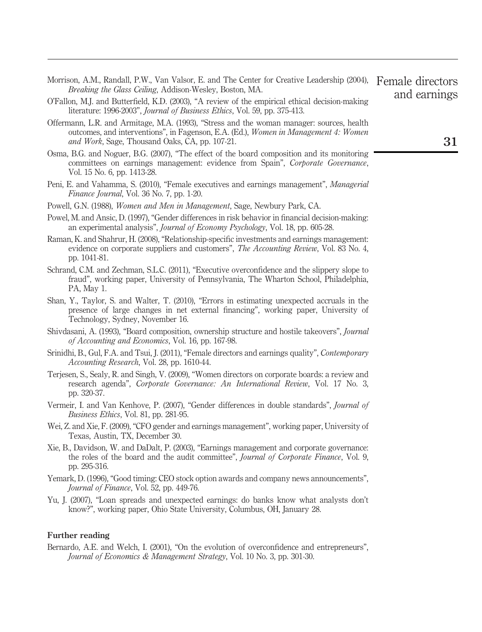- Morrison, A.M., Randall, P.W., Van Valsor, E. and The Center for Creative Leadership (2004), Female directors Breaking the Glass Ceiling, Addison-Wesley, Boston, MA.
- O'Fallon, M.J. and Butterfield, K.D. (2003), "A review of the empirical ethical decision-making literature: 1996-2003", Journal of Business Ethics, Vol. 59, pp. 375-413.
- Offermann, L.R. and Armitage, M.A. (1993), "Stress and the woman manager: sources, health outcomes, and interventions", in Fagenson, E.A. (Ed.), Women in Management 4: Women and Work, Sage, Thousand Oaks, CA, pp. 107-21.
- Osma, B.G. and Noguer, B.G. (2007), "The effect of the board composition and its monitoring committees on earnings management: evidence from Spain", Corporate Governance, Vol. 15 No. 6, pp. 1413-28.
- Peni, E. and Vahamma, S. (2010), "Female executives and earnings management", Managerial Finance Journal, Vol. 36 No. 7, pp. 1-20.
- Powell, G.N. (1988), Women and Men in Management, Sage, Newbury Park, CA.
- Powel, M. and Ansic, D. (1997), "Gender differences in risk behavior in financial decision-making: an experimental analysis", Journal of Economy Psychology, Vol. 18, pp. 605-28.
- Raman, K. and Shahrur, H. (2008), "Relationship-specific investments and earnings management: evidence on corporate suppliers and customers", The Accounting Review, Vol. 83 No. 4, pp. 1041-81.
- Schrand, C.M. and Zechman, S.L.C. (2011), "Executive overconfidence and the slippery slope to fraud", working paper, University of Pennsylvania, The Wharton School, Philadelphia, PA, May 1.
- Shan, Y., Taylor, S. and Walter, T. (2010), "Errors in estimating unexpected accruals in the presence of large changes in net external financing", working paper, University of Technology, Sydney, November 16.
- Shivdasani, A. (1993), "Board composition, ownership structure and hostile takeovers", *Journal* of Accounting and Economics, Vol. 16, pp. 167-98.
- Srinidhi, B., Gul, F.A. and Tsui, J. (2011), "Female directors and earnings quality", Contemporary Accounting Research, Vol. 28, pp. 1610-44.
- Terjesen, S., Sealy, R. and Singh, V. (2009), "Women directors on corporate boards: a review and research agenda", Corporate Governance: An International Review, Vol. 17 No. 3, pp. 320-37.
- Vermeir, I. and Van Kenhove, P. (2007), "Gender differences in double standards", Journal of Business Ethics, Vol. 81, pp. 281-95.
- Wei, Z. and Xie, F. (2009), "CFO gender and earnings management", working paper, University of Texas, Austin, TX, December 30.
- Xie, B., Davidson, W. and DaDalt, P. (2003), "Earnings management and corporate governance: the roles of the board and the audit committee", *Journal of Corporate Finance*, Vol. 9, pp. 295-316.
- Yemark, D. (1996), "Good timing: CEO stock option awards and company news announcements", Journal of Finance, Vol. 52, pp. 449-76.
- Yu, J. (2007), "Loan spreads and unexpected earnings: do banks know what analysts don't know?", working paper, Ohio State University, Columbus, OH, January 28.

#### Further reading

Bernardo, A.E. and Welch, I. (2001), "On the evolution of overconfidence and entrepreneurs", Journal of Economics & Management Strategy, Vol. 10 No. 3, pp. 301-30.

31

and earnings